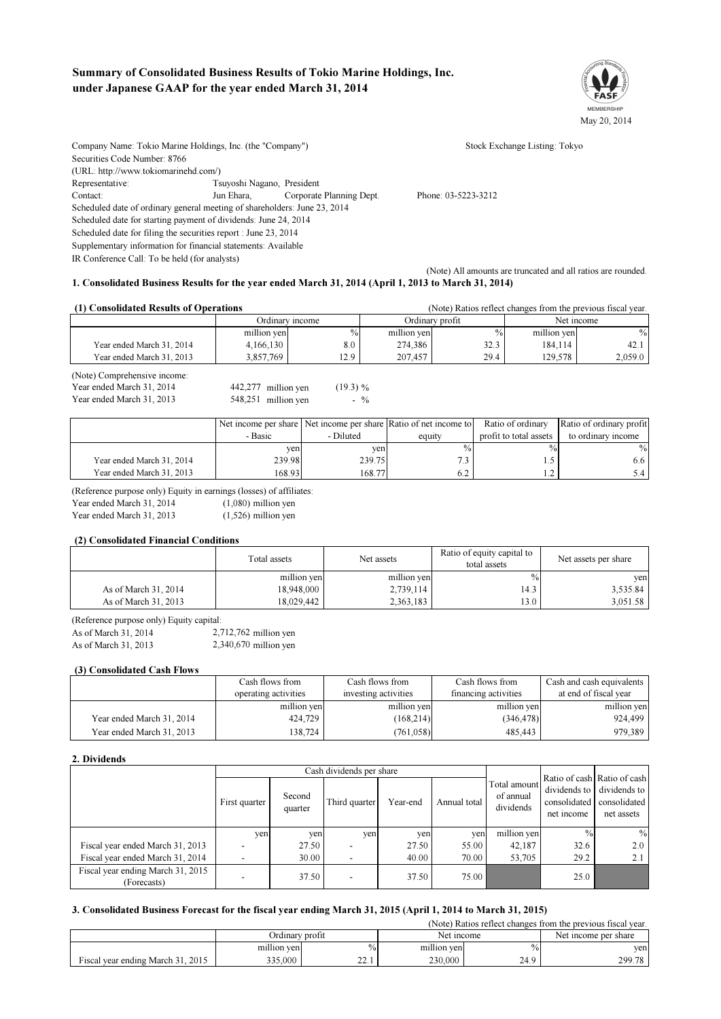# Summary of Consolidated Business Results of Tokio Marine Holdings, Inc. under Japanese GAAP for the year ended March 31, 2014



Company Name: Tokio Marine Holdings, Inc. (the "Company") Stock Exchange Listing: Tokyo Securities Code Number: 8766 (URL: http://www.tokiomarinehd.com/) Representative: Tsuyoshi Nagano, President Contact: Jun Ehara, Corporate Planning Dept. Phone: 03-5223-3212 Scheduled date of ordinary general meeting of shareholders: June 23, 2014 Scheduled date for starting payment of dividends: June 24, 2014 Scheduled date for filing the securities report : June 23, 2014 Supplementary information for financial statements: Available IR Conference Call: To be held (for analysts)

(Note) All amounts are truncated and all ratios are rounded. 1. Consolidated Business Results for the year ended March 31, 2014 (April 1, 2013 to March 31, 2014)

## (1) Consolidated Results of Operations

| (1) Consolidated Results of Operations |                 |               |                 | (Note) Ratios reflect changes from the previous fiscal year. |             |               |
|----------------------------------------|-----------------|---------------|-----------------|--------------------------------------------------------------|-------------|---------------|
|                                        | Ordinary income |               | Ordinarv profit |                                                              | Net income  |               |
|                                        | million yen     | $\frac{0}{0}$ | million yen     | $\frac{0}{0}$                                                | million yen | $\frac{0}{0}$ |
| Year ended March 31, 2014              | 4.166.130       | 8.0           | 274.386         | 32.3                                                         | 184.114     | 42.1          |
| Year ended March 31, 2013              | 3.857.769       | 12.9          | 207.457         | 29.4                                                         | 129.578     | 2,059.0       |
| $\mathbf{a}$ $\mathbf{b}$              |                 |               |                 |                                                              |             |               |

(Note) Comprehensive income:

| $(1101C)$ comprended ve meome. |                     |             |
|--------------------------------|---------------------|-------------|
| Year ended March 31, 2014      | 442,277 million yen | $(19.3) \%$ |
| Year ended March 31, 2013      | 548,251 million yen | $-$ %       |

|                           |         |           | Net income per share Net income per share Ratio of net income to | Ratio of ordinary      | Ratio of ordinary profit |
|---------------------------|---------|-----------|------------------------------------------------------------------|------------------------|--------------------------|
|                           | - Basic | - Diluted | equity                                                           | profit to total assets | to ordinary income       |
|                           | ven     | ven       | $\frac{0}{0}$                                                    | $\frac{9}{6}$          | $\%$                     |
| Year ended March 31, 2014 | 239.98  | 239.75    |                                                                  |                        | 6.6 I                    |
| Year ended March 31, 2013 | 168.93  | 168.77    |                                                                  |                        | ا 3.4                    |

(Reference purpose only) Equity in earnings (losses) of affiliates:

Year ended March 31, 2014  $(1,080)$  million ven

Year ended March 31, 2013

(1,526) million yen

#### (2) Consolidated Financial Conditions

|                      | Total assets | Net assets  | Ratio of equity capital to<br>total assets | Net assets per share |  |
|----------------------|--------------|-------------|--------------------------------------------|----------------------|--|
|                      | million yen  | million yen | $\frac{0}{0}$                              | ven                  |  |
| As of March 31, 2014 | 18,948,000   | 2,739,114   | 14.3                                       | 3,535.84             |  |
| As of March 31, 2013 | 18,029,442   | 2,363,183   | 13.0                                       | 3,051.58             |  |

(Reference purpose only) Equity capital:

| As of March 31, 2014 | $2,712,762$ million yen |
|----------------------|-------------------------|
| As of March 31, 2013 | $2,340,670$ million yen |

#### (3) Consolidated Cash Flows

|                           | Cash flows from      | Cash flows from      | Cash flows from      | Cash and cash equivalents |
|---------------------------|----------------------|----------------------|----------------------|---------------------------|
|                           | operating activities | investing activities | financing activities | at end of fiscal year     |
|                           | million yen          | million yen          | million yen          | million yen               |
| Year ended March 31, 2014 | 424,729              | (168, 214)           | (346, 478)           | 924.499                   |
| Year ended March 31, 2013 | 138,724              | (761, 058)           | 485,443              | 979,389                   |

#### 2. Dividends

|                                                  |               |                   | Cash dividends per share |          |              |                                        |                                                                           |                                            |
|--------------------------------------------------|---------------|-------------------|--------------------------|----------|--------------|----------------------------------------|---------------------------------------------------------------------------|--------------------------------------------|
|                                                  | First quarter | Second<br>quarter | Third quarter            | Year-end | Annual total | Total amount<br>of annual<br>dividends | Ratio of cash Ratio of cash<br>dividends to<br>consolidated<br>net income | dividends to<br>consolidated<br>net assets |
|                                                  | yen           | yen               | ven                      | yen      | ven          | million yen                            | $\frac{0}{0}$                                                             | $\%$                                       |
| Fiscal year ended March 31, 2013                 |               | 27.50             |                          | 27.50    | 55.00        | 42,187                                 | 32.6                                                                      | 2.0                                        |
| Fiscal year ended March 31, 2014                 |               | 30.00             |                          | 40.00    | 70.00        | 53,705                                 | 29.2                                                                      | 2.1                                        |
| Fiscal year ending March 31, 2015<br>(Forecasts) |               | 37.50             | $\overline{\phantom{a}}$ | 37.50    | 75.00        |                                        | 25.0                                                                      |                                            |

#### 3. Consolidated Business Forecast for the fiscal year ending March 31, 2015 (April 1, 2014 to March 31, 2015)

| (Note) Ratios reflect changes from the previous fiscal year. |                 |                |             |                      |        |  |  |
|--------------------------------------------------------------|-----------------|----------------|-------------|----------------------|--------|--|--|
|                                                              | Ordinarv profit |                | Net income  | Net income per share |        |  |  |
|                                                              | million yen     | $\frac{0}{0}$  | million yen | $\%$ <sub>0</sub>    | ven    |  |  |
| Fiscal year ending March 31, 2015                            | 335,000         | $\sim$<br>44.1 | 230,000     | 24.9                 | 299.78 |  |  |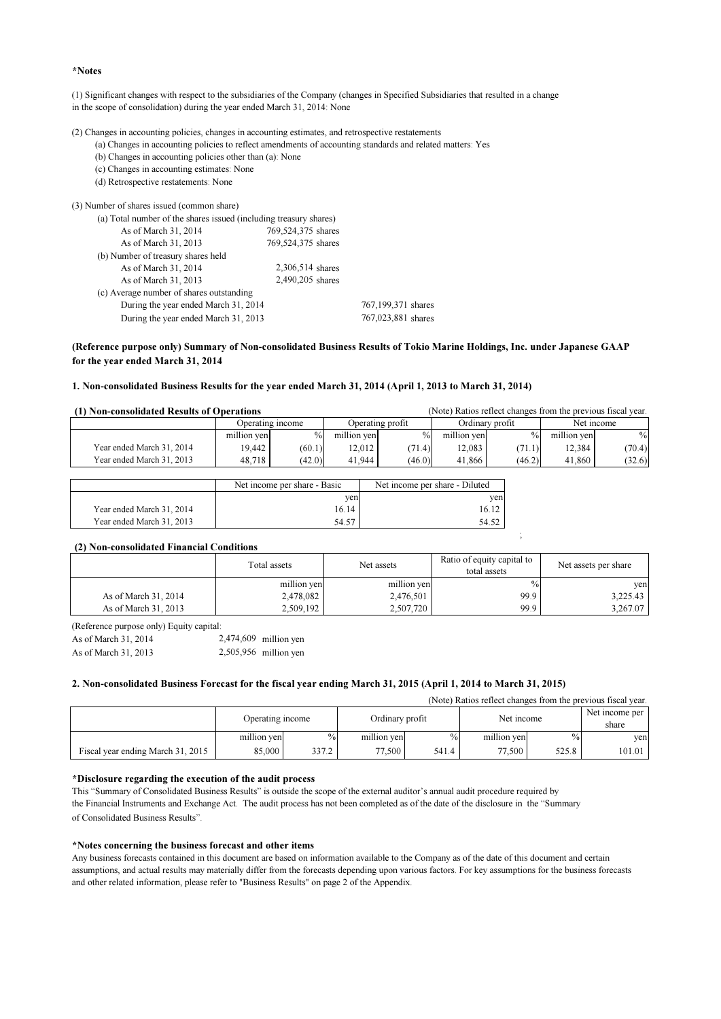#### \*Notes

(1) Significant changes with respect to the subsidiaries of the Company (changes in Specified Subsidiaries that resulted in a change in the scope of consolidation) during the year ended March 31, 2014: None

(2) Changes in accounting policies, changes in accounting estimates, and retrospective restatements

 (a) Changes in accounting policies to reflect amendments of accounting standards and related matters: Yes (b) Changes in accounting policies other than (a): None

 (c) Changes in accounting estimates: None (d) Retrospective restatements: None

| (3) Number of shares issued (common share)                        |                    |                    |
|-------------------------------------------------------------------|--------------------|--------------------|
| (a) Total number of the shares issued (including treasury shares) |                    |                    |
| As of March 31, 2014                                              | 769,524,375 shares |                    |
| As of March 31, 2013                                              | 769,524,375 shares |                    |
| (b) Number of treasury shares held                                |                    |                    |
| As of March 31, 2014                                              | 2,306,514 shares   |                    |
| As of March 31, 2013                                              | 2,490,205 shares   |                    |
| (c) Average number of shares outstanding                          |                    |                    |
| During the year ended March 31, 2014                              |                    | 767,199,371 shares |
| During the year ended March 31, 2013                              |                    | 767,023,881 shares |
|                                                                   |                    |                    |

#### (Reference purpose only) Summary of Non-consolidated Business Results of Tokio Marine Holdings, Inc. under Japanese GAAP for the year ended March 31, 2014

#### 1. Non-consolidated Business Results for the year ended March 31, 2014 (April 1, 2013 to March 31, 2014)

| (Note) Ratios reflect changes from the previous fiscal year.<br>(1) Non-consolidated Results of Operations |                  |               |                  |               |             |                 |             |            |
|------------------------------------------------------------------------------------------------------------|------------------|---------------|------------------|---------------|-------------|-----------------|-------------|------------|
|                                                                                                            | Operating income |               | Operating profit |               |             | Ordinary profit |             | Net income |
|                                                                                                            | million yen      | $\frac{0}{0}$ | million ven      | $\frac{0}{0}$ | million yen | $\%$            | million yen | $\%$       |
| Year ended March 31, 2014                                                                                  | 19.442           | (60.1)        | $12.012$         | (71.4)        | 12.083      | (71.1)          | 12.384      | (70.4)     |
| Year ended March 31, 2013                                                                                  | 48.718           | (42.0)        | 41.944           | (46.0)        | 41.866      | (46.2)          | 41.860      | (32.6)     |

|                           | Net income per share - Basic | Net income per share - Diluted |
|---------------------------|------------------------------|--------------------------------|
|                           | ven                          | ven                            |
| Year ended March 31, 2014 | 16.14                        |                                |
| Year ended March 31, 2013 | 54.57                        | 54.52                          |

#### (2) Non-consolidated Financial Conditions

|                      | Total assets | Ratio of equity capital to<br>Net assets |               | Net assets per share |
|----------------------|--------------|------------------------------------------|---------------|----------------------|
|                      | million yen  | million yen                              | $\frac{0}{0}$ | ven                  |
| As of March 31, 2014 | 2,478,082    | 2,476,501                                | 99.9          | 3,225.43             |
| As of March 31, 2013 | 2,509,192    | 2,507,720                                | 99.9          | 3.267.07             |

;

(Reference purpose only) Equity capital:

| As of March 31, 2014 | $2,474,609$ million yen |
|----------------------|-------------------------|
| As of March 31, 2013 | $2,505,956$ million yen |

#### 2. Non-consolidated Business Forecast for the fiscal year ending March 31, 2015 (April 1, 2014 to March 31, 2015)

| (Note) Ratios reflect changes from the previous fiscal year. |                  |               |                    |               |             |               |        |
|--------------------------------------------------------------|------------------|---------------|--------------------|---------------|-------------|---------------|--------|
|                                                              | Operating income |               | Ordinary profit    |               | Net income  |               |        |
|                                                              | million yen      | $\frac{0}{0}$ | million yen        | $\frac{0}{0}$ | million yen | $\frac{0}{0}$ | ven    |
| Fiscal year ending March 31, 2015                            | 85,000           | 337.2         | $77.500 \text{ m}$ | 541.4         | 77.500      | 525.8         | 101.01 |

#### \*Disclosure regarding the execution of the audit process

This "Summary of Consolidated Business Results" is outside the scope of the external auditor's annual audit procedure required by the Financial Instruments and Exchange Act. The audit process has not been completed as of the date of the disclosure in the "Summary of Consolidated Business Results".

#### \*Notes concerning the business forecast and other items

Any business forecasts contained in this document are based on information available to the Company as of the date of this document and certain assumptions, and actual results may materially differ from the forecasts depending upon various factors. For key assumptions for the business forecasts and other related information, please refer to "Business Results" on page 2 of the Appendix.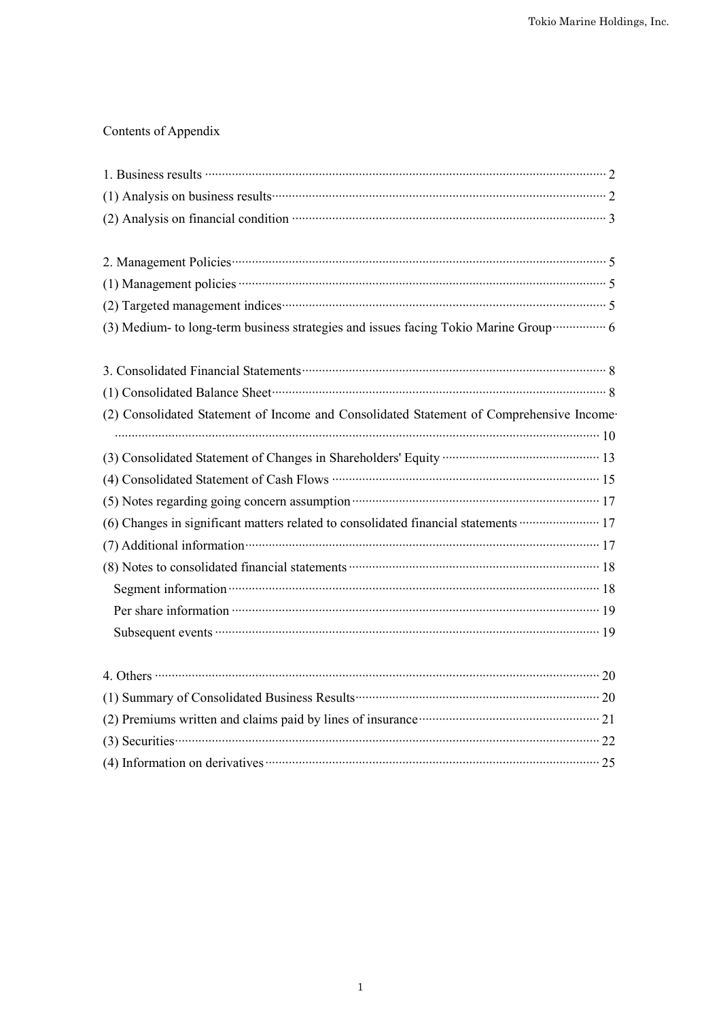# Contents of Appendix

| (2) Analysis on financial condition manufactured content 3                                                                                                                                                                         |
|------------------------------------------------------------------------------------------------------------------------------------------------------------------------------------------------------------------------------------|
|                                                                                                                                                                                                                                    |
|                                                                                                                                                                                                                                    |
|                                                                                                                                                                                                                                    |
|                                                                                                                                                                                                                                    |
| (3) Medium- to long-term business strategies and issues facing Tokio Marine Group ················ 6                                                                                                                               |
| 3. Consolidated Financial Statements <b>Constrainer Statements</b> 8                                                                                                                                                               |
|                                                                                                                                                                                                                                    |
| (2) Consolidated Statement of Income and Consolidated Statement of Comprehensive Income-                                                                                                                                           |
|                                                                                                                                                                                                                                    |
| (3) Consolidated Statement of Changes in Shareholders' Equity ……………………………………… 13                                                                                                                                                   |
|                                                                                                                                                                                                                                    |
| (5) Notes regarding going concern assumption <b>manufactures</b> in the 17                                                                                                                                                         |
| (6) Changes in significant matters related to consolidated financial statements ······················· 17                                                                                                                         |
| (7) Additional information was constructed as a property of the constraint of the constraints of the constraints of the constraints of the constraints of the constraints of the constraints of the constraints of the constra     |
|                                                                                                                                                                                                                                    |
|                                                                                                                                                                                                                                    |
| Per share information <b>contracts</b> and the state of the state information of the state information of the state of the state of the state of the state of the state of the state of the state of the state of the state of the |
|                                                                                                                                                                                                                                    |
|                                                                                                                                                                                                                                    |
| 4. Others $\cdots$ 20                                                                                                                                                                                                              |
| (1) Summary of Consolidated Business Results (2008) (2008) (2008) (2009) (2008) (2009) (2009) (2009) (2009) (20                                                                                                                    |
| (2) Premiums written and claims paid by lines of insurance <b>manufacture</b> and claims $21$                                                                                                                                      |
| $(3)$ Securities $\cdots$ 22                                                                                                                                                                                                       |
| $(4)$ Information on derivatives <b>contract to the contract of the system</b> 25                                                                                                                                                  |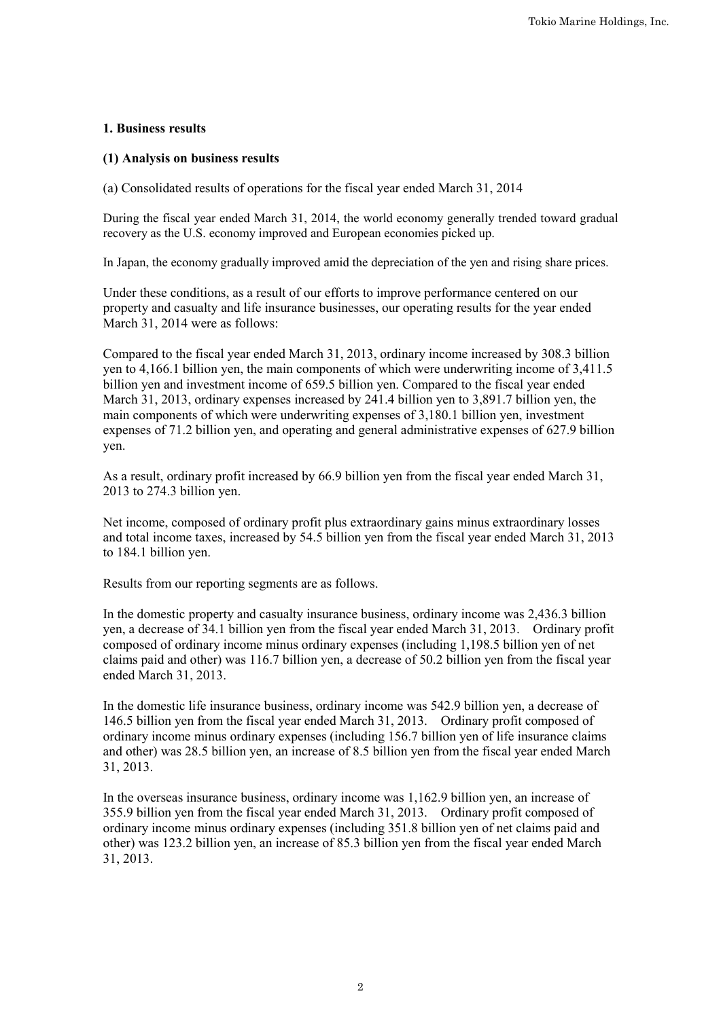# **1. Business results**

# **(1) Analysis on business results**

(a) Consolidated results of operations for the fiscal year ended March 31, 2014

During the fiscal year ended March 31, 2014, the world economy generally trended toward gradual recovery as the U.S. economy improved and European economies picked up.

In Japan, the economy gradually improved amid the depreciation of the yen and rising share prices.

Under these conditions, as a result of our efforts to improve performance centered on our property and casualty and life insurance businesses, our operating results for the year ended March 31, 2014 were as follows:

Compared to the fiscal year ended March 31, 2013, ordinary income increased by 308.3 billion yen to 4,166.1 billion yen, the main components of which were underwriting income of 3,411.5 billion yen and investment income of 659.5 billion yen. Compared to the fiscal year ended March 31, 2013, ordinary expenses increased by 241.4 billion yen to 3,891.7 billion yen, the main components of which were underwriting expenses of 3,180.1 billion yen, investment expenses of 71.2 billion yen, and operating and general administrative expenses of 627.9 billion yen.

As a result, ordinary profit increased by 66.9 billion yen from the fiscal year ended March 31, 2013 to 274.3 billion yen.

Net income, composed of ordinary profit plus extraordinary gains minus extraordinary losses and total income taxes, increased by 54.5 billion yen from the fiscal year ended March 31, 2013 to 184.1 billion yen.

Results from our reporting segments are as follows.

In the domestic property and casualty insurance business, ordinary income was 2,436.3 billion yen, a decrease of 34.1 billion yen from the fiscal year ended March 31, 2013. Ordinary profit composed of ordinary income minus ordinary expenses (including 1,198.5 billion yen of net claims paid and other) was 116.7 billion yen, a decrease of 50.2 billion yen from the fiscal year ended March 31, 2013.

In the domestic life insurance business, ordinary income was 542.9 billion yen, a decrease of 146.5 billion yen from the fiscal year ended March 31, 2013. Ordinary profit composed of ordinary income minus ordinary expenses (including 156.7 billion yen of life insurance claims and other) was 28.5 billion yen, an increase of 8.5 billion yen from the fiscal year ended March 31, 2013.

In the overseas insurance business, ordinary income was 1,162.9 billion yen, an increase of 355.9 billion yen from the fiscal year ended March 31, 2013. Ordinary profit composed of ordinary income minus ordinary expenses (including 351.8 billion yen of net claims paid and other) was 123.2 billion yen, an increase of 85.3 billion yen from the fiscal year ended March 31, 2013.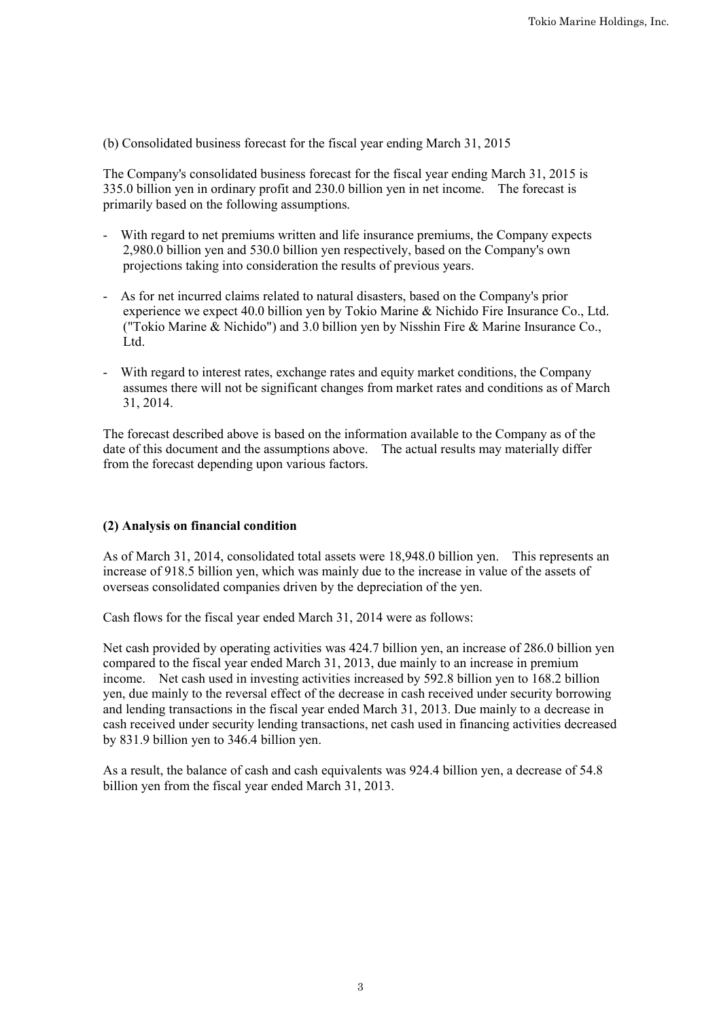(b) Consolidated business forecast for the fiscal year ending March 31, 2015

The Company's consolidated business forecast for the fiscal year ending March 31, 2015 is 335.0 billion yen in ordinary profit and 230.0 billion yen in net income. The forecast is primarily based on the following assumptions.

- With regard to net premiums written and life insurance premiums, the Company expects 2,980.0 billion yen and 530.0 billion yen respectively, based on the Company's own projections taking into consideration the results of previous years.
- As for net incurred claims related to natural disasters, based on the Company's prior experience we expect 40.0 billion yen by Tokio Marine & Nichido Fire Insurance Co., Ltd. ("Tokio Marine & Nichido") and 3.0 billion yen by Nisshin Fire & Marine Insurance Co., Ltd.
- With regard to interest rates, exchange rates and equity market conditions, the Company assumes there will not be significant changes from market rates and conditions as of March 31, 2014.

The forecast described above is based on the information available to the Company as of the date of this document and the assumptions above. The actual results may materially differ from the forecast depending upon various factors.

# **(2) Analysis on financial condition**

As of March 31, 2014, consolidated total assets were 18,948.0 billion yen. This represents an increase of 918.5 billion yen, which was mainly due to the increase in value of the assets of overseas consolidated companies driven by the depreciation of the yen.

Cash flows for the fiscal year ended March 31, 2014 were as follows:

Net cash provided by operating activities was 424.7 billion yen, an increase of 286.0 billion yen compared to the fiscal year ended March 31, 2013, due mainly to an increase in premium income. Net cash used in investing activities increased by 592.8 billion yen to 168.2 billion yen, due mainly to the reversal effect of the decrease in cash received under security borrowing and lending transactions in the fiscal year ended March 31, 2013. Due mainly to a decrease in cash received under security lending transactions, net cash used in financing activities decreased by 831.9 billion yen to 346.4 billion yen.

As a result, the balance of cash and cash equivalents was 924.4 billion yen, a decrease of 54.8 billion yen from the fiscal year ended March 31, 2013.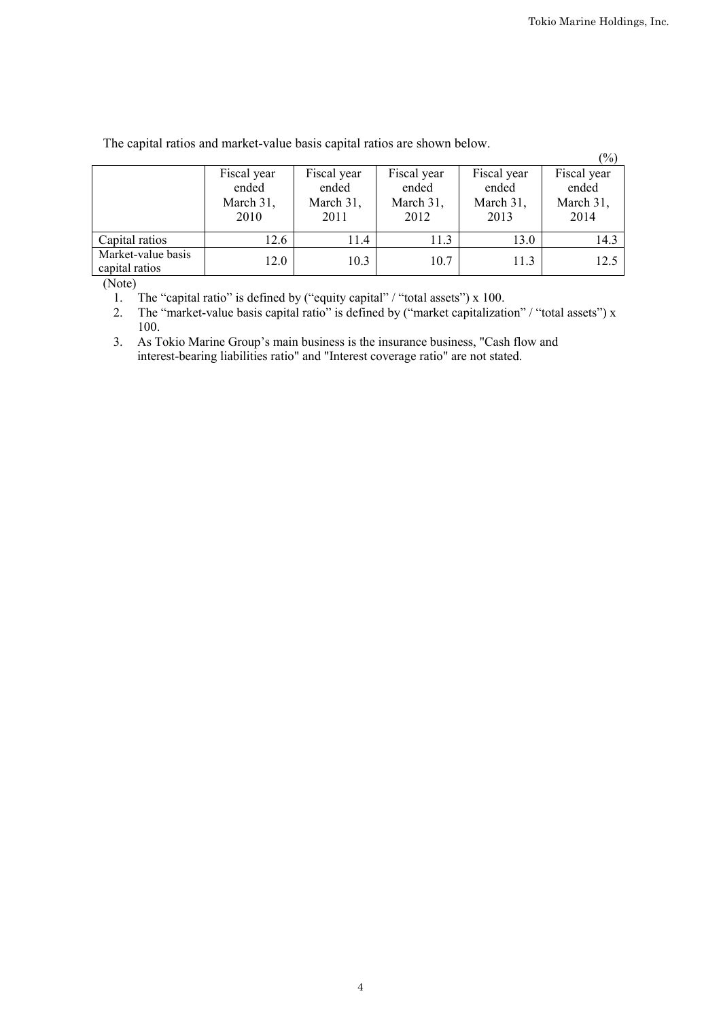|                                      |                                           |                                           |                                           |                                           | $(\%)$                                    |
|--------------------------------------|-------------------------------------------|-------------------------------------------|-------------------------------------------|-------------------------------------------|-------------------------------------------|
|                                      | Fiscal year<br>ended<br>March 31,<br>2010 | Fiscal year<br>ended<br>March 31,<br>2011 | Fiscal year<br>ended<br>March 31,<br>2012 | Fiscal year<br>ended<br>March 31,<br>2013 | Fiscal year<br>ended<br>March 31,<br>2014 |
| Capital ratios                       | 12.6                                      | 11.4                                      | 11.3                                      | 13.0                                      | 14.3                                      |
| Market-value basis<br>capital ratios | 12.0                                      | 10.3                                      | 10.7                                      | 11.3                                      | 12.5                                      |

The capital ratios and market-value basis capital ratios are shown below.

(Note)

1. The "capital ratio" is defined by ("equity capital" / "total assets") x 100.

2. The "market-value basis capital ratio" is defined by ("market capitalization" / "total assets")  $x$ 100.

3. As Tokio Marine Group's main business is the insurance business, "Cash flow and interest-bearing liabilities ratio" and "Interest coverage ratio" are not stated.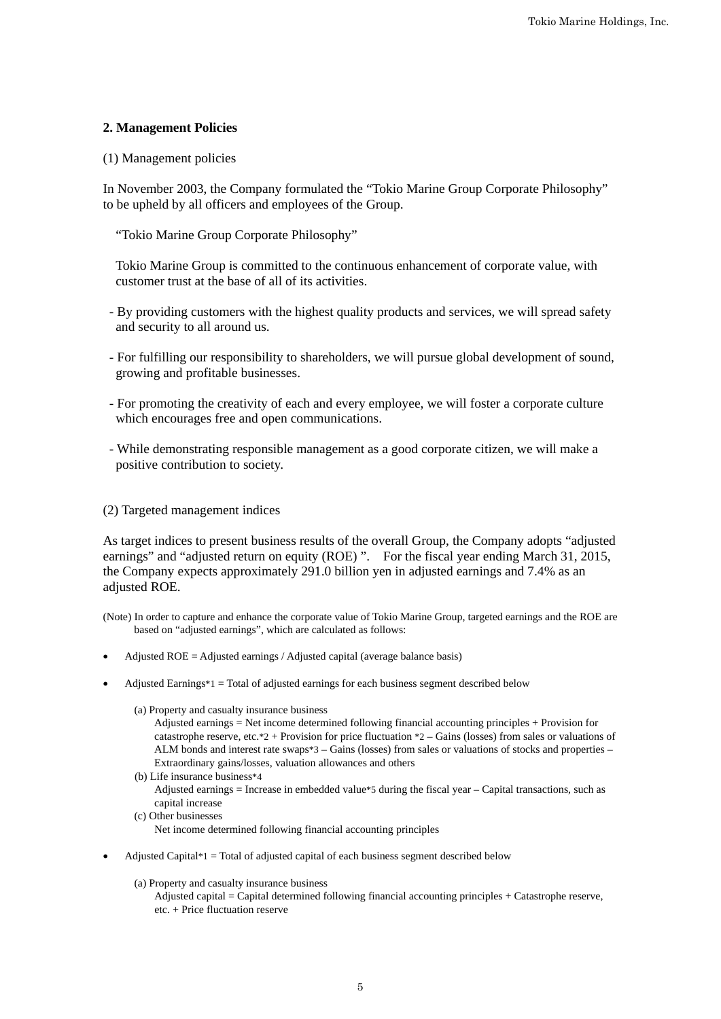# **2. Management Policies**

## (1) Management policies

In November 2003, the Company formulated the "Tokio Marine Group Corporate Philosophy" to be upheld by all officers and employees of the Group.

"Tokio Marine Group Corporate Philosophy"

Tokio Marine Group is committed to the continuous enhancement of corporate value, with customer trust at the base of all of its activities.

- By providing customers with the highest quality products and services, we will spread safety and security to all around us.
- For fulfilling our responsibility to shareholders, we will pursue global development of sound, growing and profitable businesses.
- For promoting the creativity of each and every employee, we will foster a corporate culture which encourages free and open communications.
- While demonstrating responsible management as a good corporate citizen, we will make a positive contribution to society.

# (2) Targeted management indices

As target indices to present business results of the overall Group, the Company adopts "adjusted earnings" and "adjusted return on equity (ROE)". For the fiscal year ending March 31, 2015, the Company expects approximately 291.0 billion yen in adjusted earnings and 7.4% as an adjusted ROE.

(Note) In order to capture and enhance the corporate value of Tokio Marine Group, targeted earnings and the ROE are based on "adjusted earnings", which are calculated as follows:

- Adjusted  $ROE =$  Adjusted earnings / Adjusted capital (average balance basis)
- Adjusted Earnings\*1 = Total of adjusted earnings for each business segment described below
	- (a) Property and casualty insurance business
		- Adjusted earnings = Net income determined following financial accounting principles + Provision for catastrophe reserve, etc.\*2 + Provision for price fluctuation \*2 – Gains (losses) from sales or valuations of ALM bonds and interest rate swaps\*3 – Gains (losses) from sales or valuations of stocks and properties – Extraordinary gains/losses, valuation allowances and others
	- (b) Life insurance business\*4 Adjusted earnings = Increase in embedded value\*5 during the fiscal year – Capital transactions, such as capital increase
	- (c) Other businesses Net income determined following financial accounting principles
- Adjusted Capital $*1$  = Total of adjusted capital of each business segment described below
	- (a) Property and casualty insurance business
		- Adjusted capital = Capital determined following financial accounting principles + Catastrophe reserve, etc. + Price fluctuation reserve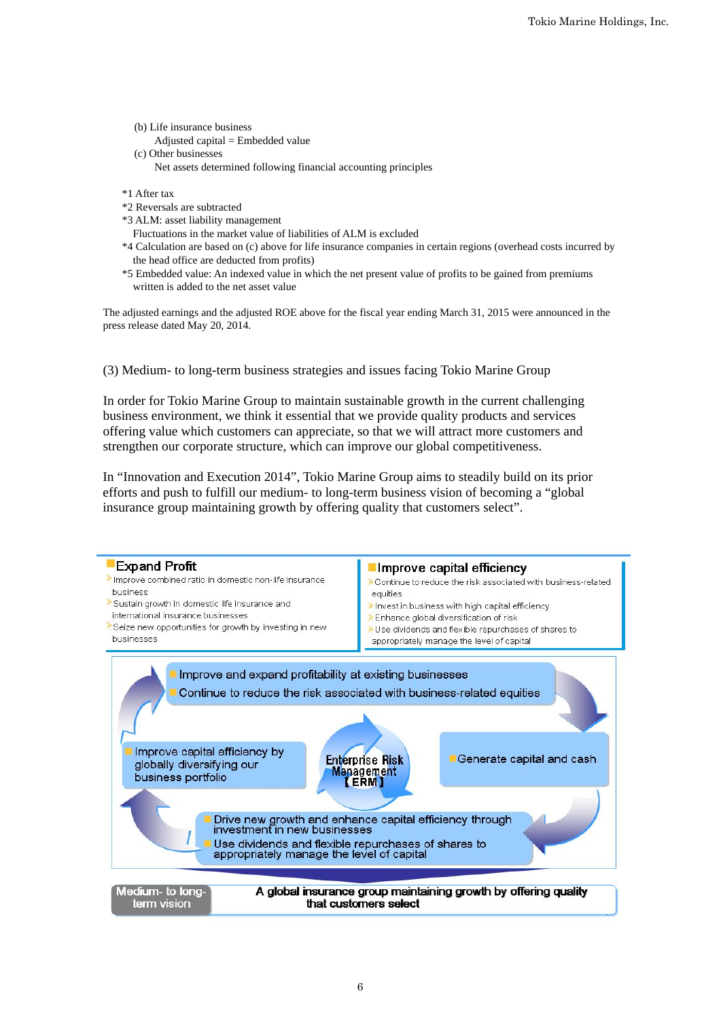- (b) Life insurance business
	- Adjusted capital  $=$  Embedded value
- (c) Other businesses Net assets determined following financial accounting principles
- \*1 After tax
- \*2 Reversals are subtracted
- \*3 ALM: asset liability management
- Fluctuations in the market value of liabilities of ALM is excluded
- \*4 Calculation are based on (c) above for life insurance companies in certain regions (overhead costs incurred by the head office are deducted from profits)
- \*5 Embedded value: An indexed value in which the net present value of profits to be gained from premiums written is added to the net asset value

The adjusted earnings and the adjusted ROE above for the fiscal year ending March 31, 2015 were announced in the press release dated May 20, 2014.

(3) Medium- to long-term business strategies and issues facing Tokio Marine Group

In order for Tokio Marine Group to maintain sustainable growth in the current challenging business environment, we think it essential that we provide quality products and services offering value which customers can appreciate, so that we will attract more customers and strengthen our corporate structure, which can improve our global competitiveness.

In "Innovation and Execution 2014", Tokio Marine Group aims to steadily build on its prior efforts and push to fulfill our medium- to long-term business vision of becoming a "global insurance group maintaining growth by offering quality that customers select".

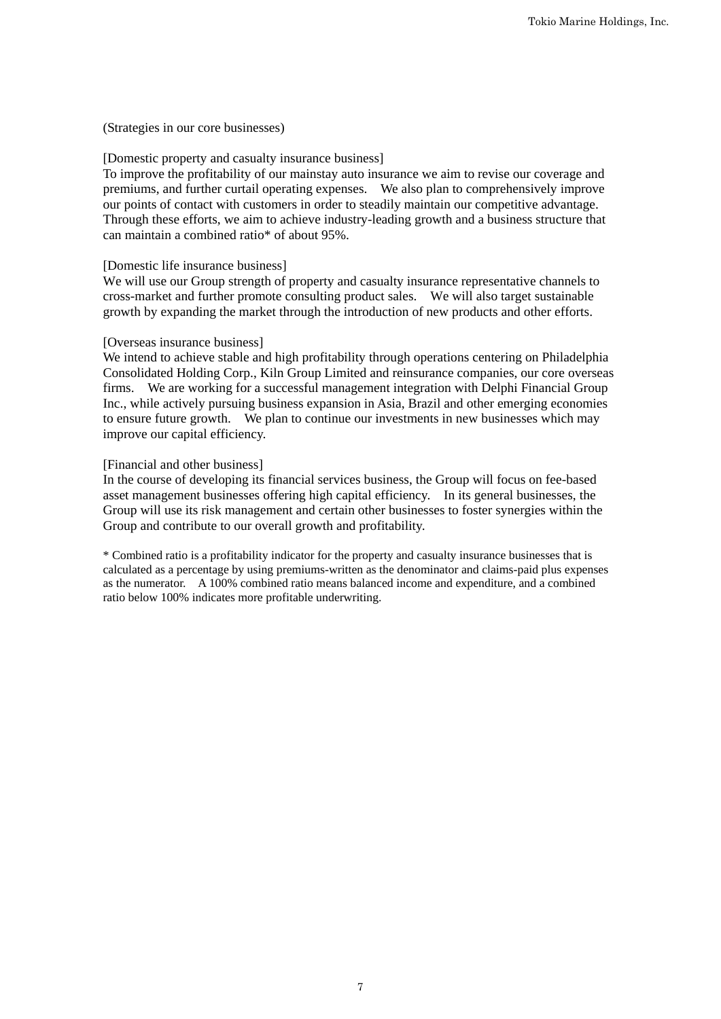(Strategies in our core businesses)

#### [Domestic property and casualty insurance business]

To improve the profitability of our mainstay auto insurance we aim to revise our coverage and premiums, and further curtail operating expenses. We also plan to comprehensively improve our points of contact with customers in order to steadily maintain our competitive advantage. Through these efforts, we aim to achieve industry-leading growth and a business structure that can maintain a combined ratio\* of about 95%.

# [Domestic life insurance business]

We will use our Group strength of property and casualty insurance representative channels to cross-market and further promote consulting product sales. We will also target sustainable growth by expanding the market through the introduction of new products and other efforts.

#### [Overseas insurance business]

We intend to achieve stable and high profitability through operations centering on Philadelphia Consolidated Holding Corp., Kiln Group Limited and reinsurance companies, our core overseas firms. We are working for a successful management integration with Delphi Financial Group Inc., while actively pursuing business expansion in Asia, Brazil and other emerging economies to ensure future growth. We plan to continue our investments in new businesses which may improve our capital efficiency.

#### [Financial and other business]

In the course of developing its financial services business, the Group will focus on fee-based asset management businesses offering high capital efficiency. In its general businesses, the Group will use its risk management and certain other businesses to foster synergies within the Group and contribute to our overall growth and profitability.

\* Combined ratio is a profitability indicator for the property and casualty insurance businesses that is calculated as a percentage by using premiums-written as the denominator and claims-paid plus expenses as the numerator. A 100% combined ratio means balanced income and expenditure, and a combined ratio below 100% indicates more profitable underwriting.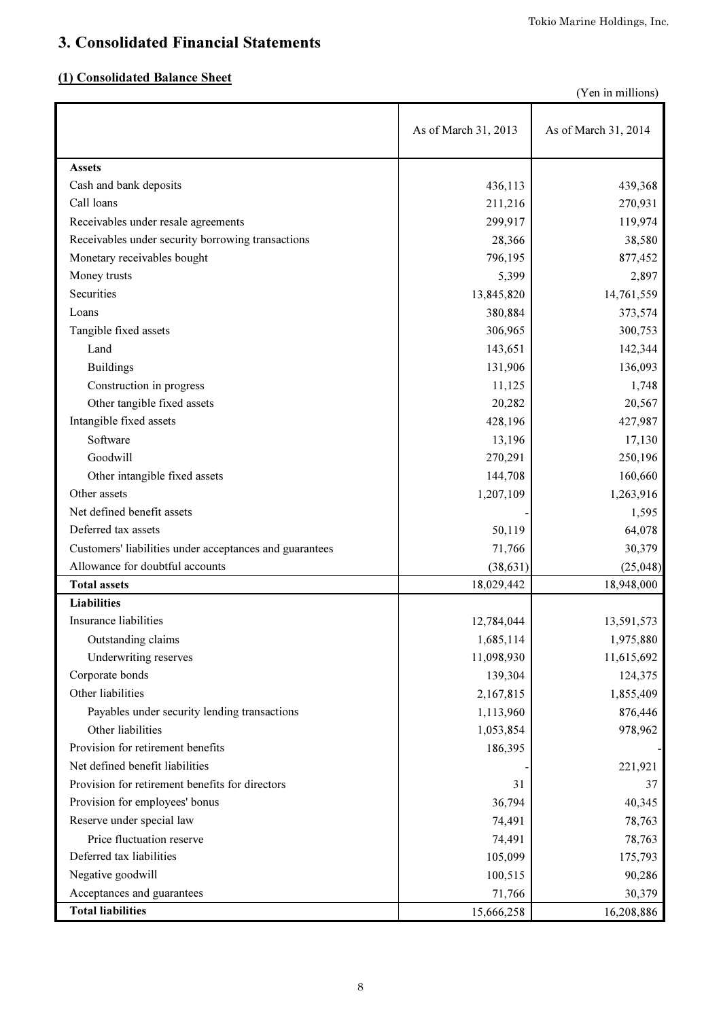# 3. Consolidated Financial Statements

# (1) Consolidated Balance Sheet

(Yen in millions)

|                                                         | As of March 31, 2013 | As of March 31, 2014 |
|---------------------------------------------------------|----------------------|----------------------|
| <b>Assets</b>                                           |                      |                      |
| Cash and bank deposits                                  | 436,113              | 439,368              |
| Call loans                                              | 211,216              | 270,931              |
| Receivables under resale agreements                     | 299,917              | 119,974              |
| Receivables under security borrowing transactions       | 28,366               | 38,580               |
| Monetary receivables bought                             | 796,195              | 877,452              |
| Money trusts                                            | 5,399                | 2,897                |
| Securities                                              | 13,845,820           | 14,761,559           |
| Loans                                                   | 380,884              | 373,574              |
| Tangible fixed assets                                   | 306,965              | 300,753              |
| Land                                                    | 143,651              | 142,344              |
| <b>Buildings</b>                                        | 131,906              | 136,093              |
| Construction in progress                                | 11,125               | 1,748                |
| Other tangible fixed assets                             | 20,282               | 20,567               |
| Intangible fixed assets                                 | 428,196              | 427,987              |
| Software                                                | 13,196               | 17,130               |
| Goodwill                                                | 270,291              | 250,196              |
| Other intangible fixed assets                           | 144,708              | 160,660              |
| Other assets                                            | 1,207,109            | 1,263,916            |
| Net defined benefit assets                              |                      | 1,595                |
| Deferred tax assets                                     | 50,119               | 64,078               |
| Customers' liabilities under acceptances and guarantees | 71,766               | 30,379               |
| Allowance for doubtful accounts                         | (38, 631)            | (25, 048)            |
| <b>Total assets</b>                                     | 18,029,442           | 18,948,000           |
| <b>Liabilities</b>                                      |                      |                      |
| Insurance liabilities                                   | 12,784,044           | 13,591,573           |
| Outstanding claims                                      | 1,685,114            | 1,975,880            |
| Underwriting reserves                                   | 11,098,930           | 11,615,692           |
| Corporate bonds                                         | 139,304              | 124,375              |
| Other liabilities                                       | 2,167,815            | 1,855,409            |
| Payables under security lending transactions            | 1,113,960            | 876,446              |
| Other liabilities                                       | 1,053,854            | 978,962              |
| Provision for retirement benefits                       | 186,395              |                      |
| Net defined benefit liabilities                         |                      | 221,921              |
| Provision for retirement benefits for directors         | 31                   | 37                   |
| Provision for employees' bonus                          | 36,794               | 40,345               |
| Reserve under special law                               | 74,491               | 78,763               |
| Price fluctuation reserve                               | 74,491               | 78,763               |
| Deferred tax liabilities                                | 105,099              | 175,793              |
| Negative goodwill                                       | 100,515              | 90,286               |
| Acceptances and guarantees                              | 71,766               | 30,379               |
| <b>Total liabilities</b>                                | 15,666,258           | 16,208,886           |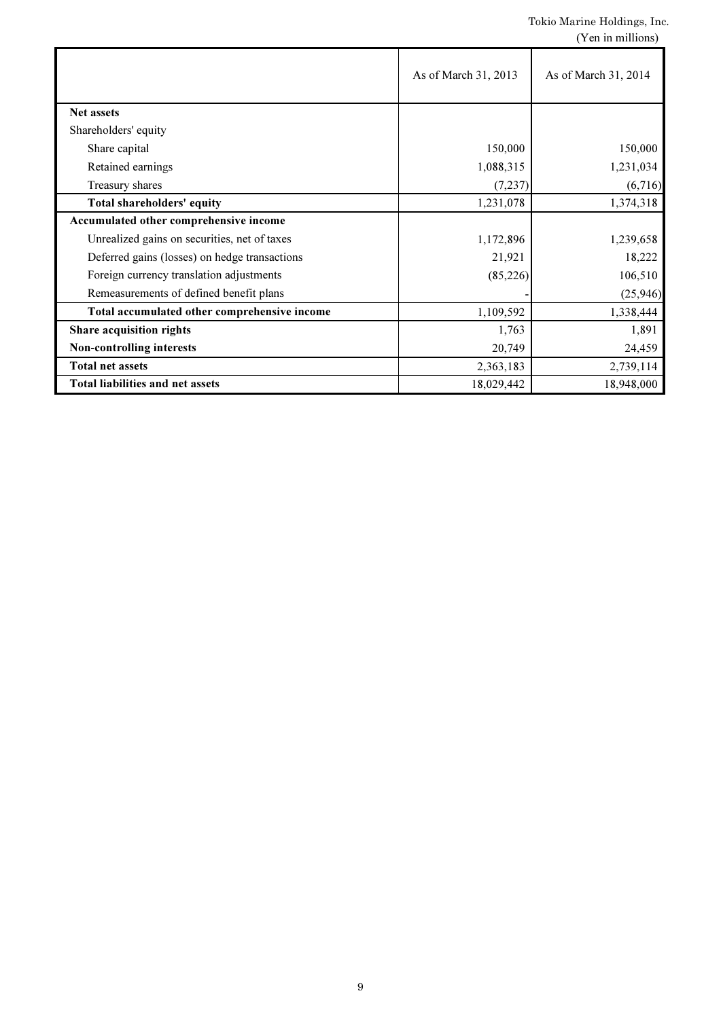|                                               | As of March 31, 2013 | As of March 31, 2014 |
|-----------------------------------------------|----------------------|----------------------|
| <b>Net assets</b>                             |                      |                      |
| Shareholders' equity                          |                      |                      |
| Share capital                                 | 150,000              | 150,000              |
| Retained earnings                             | 1,088,315            | 1,231,034            |
| Treasury shares                               | (7, 237)             | (6,716)              |
| Total shareholders' equity                    | 1,231,078            | 1,374,318            |
| Accumulated other comprehensive income        |                      |                      |
| Unrealized gains on securities, net of taxes  | 1,172,896            | 1,239,658            |
| Deferred gains (losses) on hedge transactions | 21,921               | 18,222               |
| Foreign currency translation adjustments      | (85, 226)            | 106,510              |
| Remeasurements of defined benefit plans       |                      | (25,946)             |
| Total accumulated other comprehensive income  | 1,109,592            | 1,338,444            |
| Share acquisition rights                      | 1,763                | 1,891                |
| Non-controlling interests                     | 20,749               | 24,459               |
| <b>Total net assets</b>                       | 2,363,183            | 2,739,114            |
| <b>Total liabilities and net assets</b>       | 18,029,442           | 18,948,000           |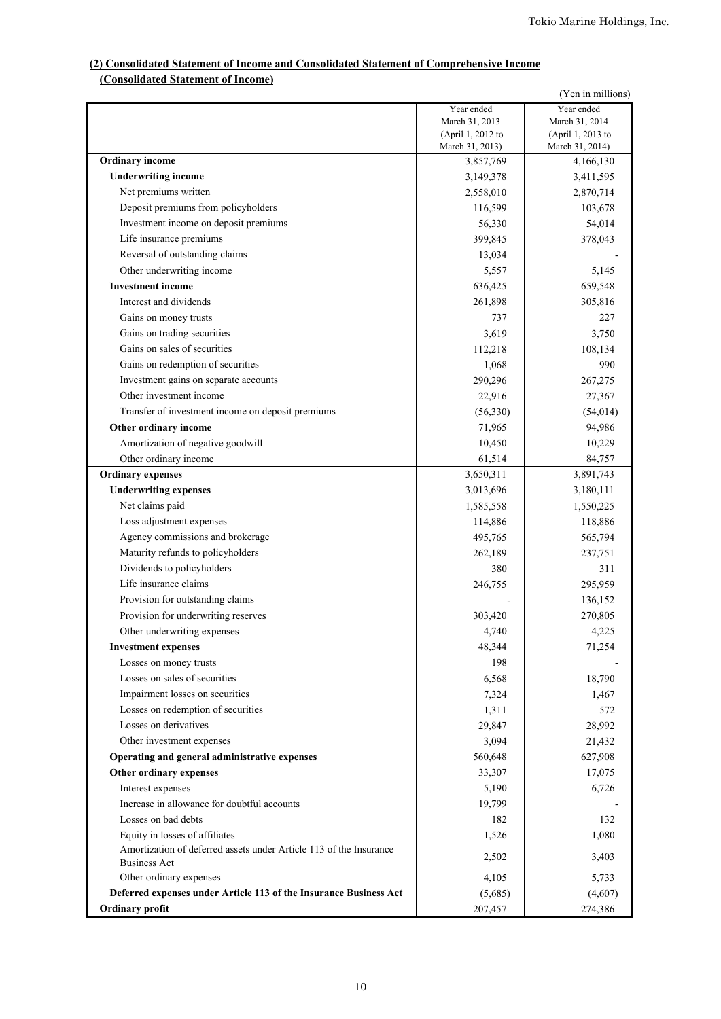## **(2) Consolidated Statement of Income and Consolidated Statement of Comprehensive Income (Consolidated Statement of Income)**

|                                                                    |                                     | (Yen in millions)                   |
|--------------------------------------------------------------------|-------------------------------------|-------------------------------------|
|                                                                    | Year ended                          | Year ended                          |
|                                                                    | March 31, 2013<br>(April 1, 2012 to | March 31, 2014<br>(April 1, 2013 to |
|                                                                    | March 31, 2013)                     | March 31, 2014)                     |
| <b>Ordinary</b> income                                             | 3,857,769                           | 4,166,130                           |
| <b>Underwriting income</b>                                         | 3,149,378                           | 3,411,595                           |
| Net premiums written                                               | 2,558,010                           | 2,870,714                           |
| Deposit premiums from policyholders                                | 116,599                             | 103,678                             |
| Investment income on deposit premiums                              | 56,330                              | 54,014                              |
| Life insurance premiums                                            | 399,845                             | 378,043                             |
| Reversal of outstanding claims                                     | 13,034                              |                                     |
| Other underwriting income                                          | 5,557                               | 5,145                               |
| <b>Investment</b> income                                           | 636,425                             | 659,548                             |
| Interest and dividends                                             | 261,898                             | 305,816                             |
| Gains on money trusts                                              | 737                                 | 227                                 |
| Gains on trading securities                                        | 3,619                               | 3,750                               |
| Gains on sales of securities                                       | 112,218                             | 108,134                             |
| Gains on redemption of securities                                  | 1,068                               | 990                                 |
| Investment gains on separate accounts                              | 290,296                             | 267,275                             |
| Other investment income                                            | 22,916                              | 27,367                              |
| Transfer of investment income on deposit premiums                  | (56,330)                            | (54, 014)                           |
| Other ordinary income                                              | 71,965                              | 94,986                              |
| Amortization of negative goodwill                                  | 10,450                              | 10,229                              |
| Other ordinary income                                              | 61,514                              | 84,757                              |
| <b>Ordinary expenses</b>                                           | 3,650,311                           | 3,891,743                           |
| <b>Underwriting expenses</b>                                       | 3,013,696                           | 3,180,111                           |
| Net claims paid                                                    | 1,585,558                           | 1,550,225                           |
| Loss adjustment expenses                                           | 114,886                             | 118,886                             |
| Agency commissions and brokerage                                   | 495,765                             | 565,794                             |
| Maturity refunds to policyholders                                  | 262,189                             | 237,751                             |
| Dividends to policyholders                                         | 380                                 | 311                                 |
| Life insurance claims                                              | 246,755                             | 295,959                             |
| Provision for outstanding claims                                   |                                     | 136,152                             |
| Provision for underwriting reserves                                | 303,420                             | 270,805                             |
| Other underwriting expenses                                        | 4,740                               | 4,225                               |
| <b>Investment expenses</b>                                         | 48,344                              | 71,254                              |
| Losses on money trusts                                             | 198                                 |                                     |
| Losses on sales of securities                                      | 6,568                               | 18,790                              |
| Impairment losses on securities                                    | 7,324                               | 1,467                               |
| Losses on redemption of securities                                 | 1,311                               | 572                                 |
| Losses on derivatives                                              | 29,847                              | 28,992                              |
| Other investment expenses                                          | 3,094                               | 21,432                              |
| Operating and general administrative expenses                      | 560,648                             | 627,908                             |
| Other ordinary expenses                                            | 33,307                              | 17,075                              |
| Interest expenses                                                  | 5,190                               | 6,726                               |
| Increase in allowance for doubtful accounts                        | 19,799                              |                                     |
| Losses on bad debts                                                | 182                                 | 132                                 |
| Equity in losses of affiliates                                     | 1,526                               | 1,080                               |
| Amortization of deferred assets under Article 113 of the Insurance |                                     |                                     |
| <b>Business Act</b>                                                | 2,502                               | 3,403                               |
| Other ordinary expenses                                            | 4,105                               | 5,733                               |
| Deferred expenses under Article 113 of the Insurance Business Act  | (5,685)                             | (4,607)                             |
| Ordinary profit                                                    | 207,457                             | 274,386                             |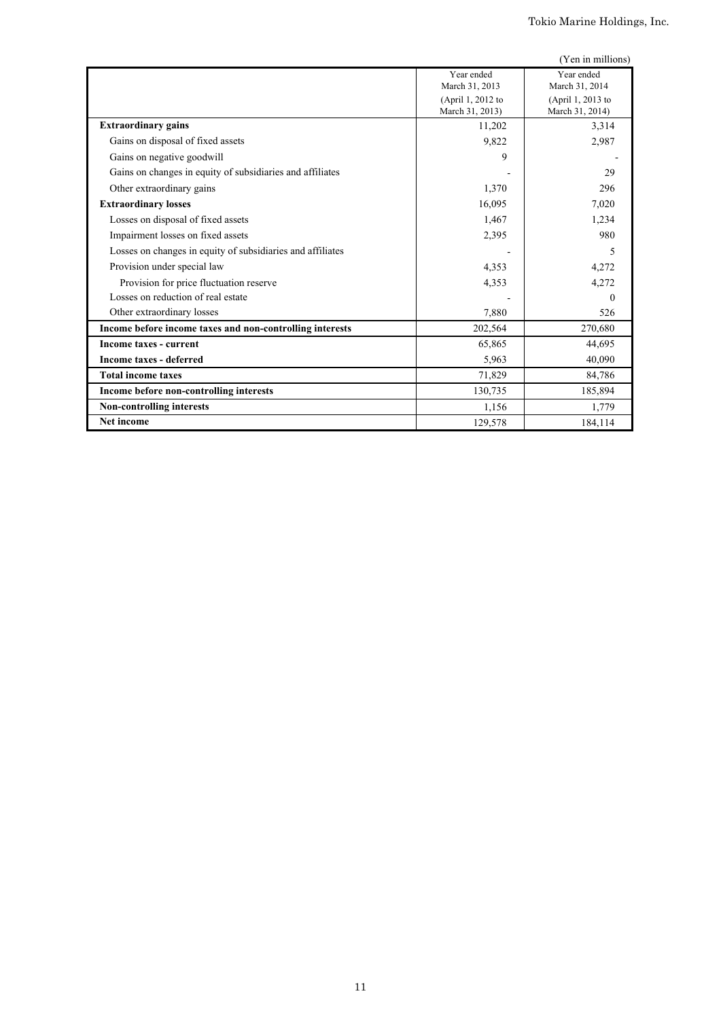|                                                            |                   | (Yen in millions) |
|------------------------------------------------------------|-------------------|-------------------|
|                                                            | Year ended        | Year ended        |
|                                                            | March 31, 2013    | March 31, 2014    |
|                                                            | (April 1, 2012 to | (April 1, 2013 to |
|                                                            | March 31, 2013)   | March 31, 2014)   |
| <b>Extraordinary gains</b>                                 | 11,202            | 3,314             |
| Gains on disposal of fixed assets                          | 9,822             | 2,987             |
| Gains on negative goodwill                                 | 9                 |                   |
| Gains on changes in equity of subsidiaries and affiliates  |                   | 29                |
| Other extraordinary gains                                  | 1,370             | 296               |
| <b>Extraordinary losses</b>                                | 16,095            | 7,020             |
| Losses on disposal of fixed assets                         | 1,467             | 1,234             |
| Impairment losses on fixed assets                          | 2,395             | 980               |
| Losses on changes in equity of subsidiaries and affiliates |                   | 5                 |
| Provision under special law                                | 4,353             | 4,272             |
| Provision for price fluctuation reserve                    | 4,353             | 4,272             |
| Losses on reduction of real estate                         |                   | $\Omega$          |
| Other extraordinary losses                                 | 7,880             | 526               |
| Income before income taxes and non-controlling interests   | 202,564           | 270,680           |
| Income taxes - current                                     | 65,865            | 44,695            |
| <b>Income taxes - deferred</b>                             | 5,963             | 40.090            |
| <b>Total income taxes</b>                                  | 71,829            | 84,786            |
| Income before non-controlling interests                    | 130,735           | 185,894           |
| <b>Non-controlling interests</b>                           | 1,156             | 1,779             |
| <b>Net income</b>                                          | 129,578           | 184,114           |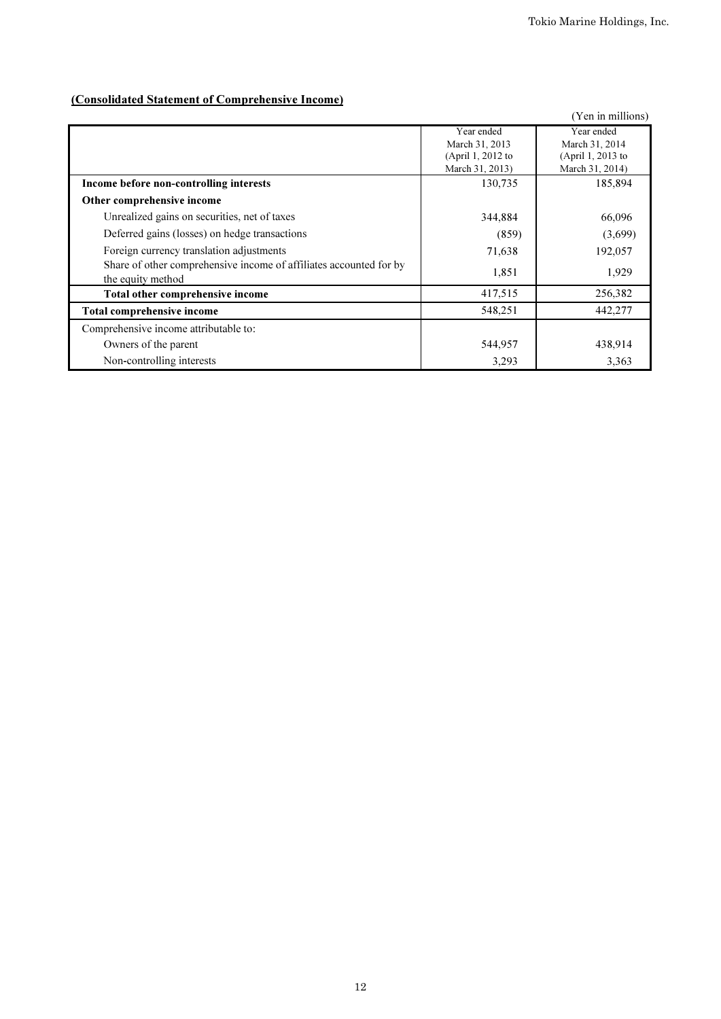# (Consolidated Statement of Comprehensive Income)

|                                                                    |                   | (Yen in millions) |
|--------------------------------------------------------------------|-------------------|-------------------|
|                                                                    | Year ended        | Year ended        |
|                                                                    | March 31, 2013    | March 31, 2014    |
|                                                                    | (April 1, 2012 to | (April 1, 2013 to |
|                                                                    | March 31, 2013)   | March 31, 2014)   |
| Income before non-controlling interests                            | 130,735           | 185,894           |
| Other comprehensive income                                         |                   |                   |
| Unrealized gains on securities, net of taxes                       | 344,884           | 66,096            |
| Deferred gains (losses) on hedge transactions                      | (859)             | (3,699)           |
| Foreign currency translation adjustments                           | 71,638            | 192,057           |
| Share of other comprehensive income of affiliates accounted for by | 1,851             | 1,929             |
| the equity method                                                  |                   |                   |
| Total other comprehensive income                                   | 417,515           | 256,382           |
| <b>Total comprehensive income</b>                                  | 548,251           | 442,277           |
| Comprehensive income attributable to:                              |                   |                   |
| Owners of the parent                                               | 544,957           | 438,914           |
| Non-controlling interests                                          | 3,293             | 3,363             |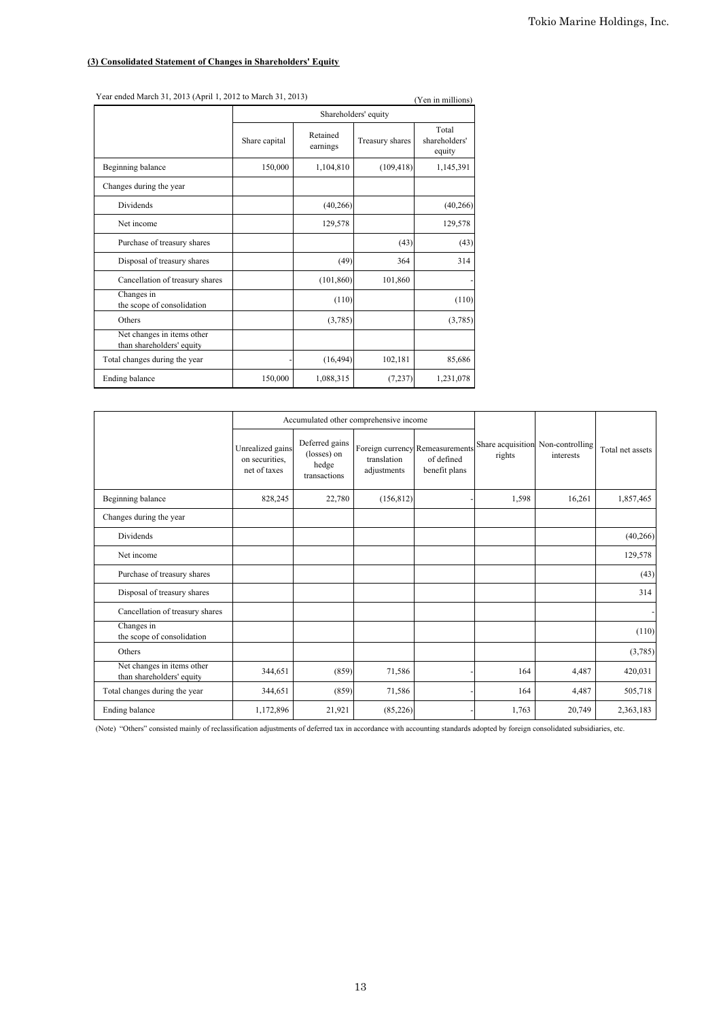## **(3) Consolidated Statement of Changes in Shareholders' Equity**

| Year ended March 31, 2013 (April 1, 2012 to March 31, 2013)<br>(Yen in millions) |                      |                      |                 |                                  |  |  |
|----------------------------------------------------------------------------------|----------------------|----------------------|-----------------|----------------------------------|--|--|
|                                                                                  | Shareholders' equity |                      |                 |                                  |  |  |
|                                                                                  | Share capital        | Retained<br>earnings | Treasury shares | Total<br>shareholders'<br>equity |  |  |
| Beginning balance                                                                | 150,000              | 1,104,810            | (109, 418)      | 1,145,391                        |  |  |
| Changes during the year                                                          |                      |                      |                 |                                  |  |  |
| <b>Dividends</b>                                                                 |                      | (40, 266)            |                 | (40, 266)                        |  |  |
| Net income                                                                       |                      | 129,578              |                 | 129,578                          |  |  |
| Purchase of treasury shares                                                      |                      |                      | (43)            | (43)                             |  |  |
| Disposal of treasury shares                                                      |                      | (49)                 | 364             | 314                              |  |  |
| Cancellation of treasury shares                                                  |                      | (101, 860)           | 101,860         |                                  |  |  |
| Changes in<br>the scope of consolidation                                         |                      | (110)                |                 | (110)                            |  |  |
| Others                                                                           |                      | (3,785)              |                 | (3,785)                          |  |  |
| Net changes in items other<br>than shareholders' equity                          |                      |                      |                 |                                  |  |  |
| Total changes during the year                                                    |                      | (16, 494)            | 102,181         | 85,686                           |  |  |
| Ending balance                                                                   | 150,000              | 1,088,315            | (7,237)         | 1,231,078                        |  |  |

|                                                         |                                                    |                                                        | Accumulated other comprehensive income |                                                                |                             |                              | Total net assets |
|---------------------------------------------------------|----------------------------------------------------|--------------------------------------------------------|----------------------------------------|----------------------------------------------------------------|-----------------------------|------------------------------|------------------|
|                                                         | Unrealized gains<br>on securities.<br>net of taxes | Deferred gains<br>(losses) on<br>hedge<br>transactions | translation<br>adjustments             | Foreign currency Remeasurements<br>of defined<br>benefit plans | Share acquisition<br>rights | Non-controlling<br>interests |                  |
| Beginning balance                                       | 828,245                                            | 22,780                                                 | (156, 812)                             |                                                                | 1,598                       | 16,261                       | 1,857,465        |
| Changes during the year                                 |                                                    |                                                        |                                        |                                                                |                             |                              |                  |
| Dividends                                               |                                                    |                                                        |                                        |                                                                |                             |                              | (40, 266)        |
| Net income                                              |                                                    |                                                        |                                        |                                                                |                             |                              | 129,578          |
| Purchase of treasury shares                             |                                                    |                                                        |                                        |                                                                |                             |                              | (43)             |
| Disposal of treasury shares                             |                                                    |                                                        |                                        |                                                                |                             |                              | 314              |
| Cancellation of treasury shares                         |                                                    |                                                        |                                        |                                                                |                             |                              |                  |
| Changes in<br>the scope of consolidation                |                                                    |                                                        |                                        |                                                                |                             |                              | (110)            |
| Others                                                  |                                                    |                                                        |                                        |                                                                |                             |                              | (3,785)          |
| Net changes in items other<br>than shareholders' equity | 344,651                                            | (859)                                                  | 71,586                                 |                                                                | 164                         | 4,487                        | 420,031          |
| Total changes during the year                           | 344,651                                            | (859)                                                  | 71,586                                 |                                                                | 164                         | 4,487                        | 505,718          |
| Ending balance                                          | 1,172,896                                          | 21,921                                                 | (85, 226)                              |                                                                | 1,763                       | 20,749                       | 2,363,183        |

(Note) "Others" consisted mainly of reclassification adjustments of deferred tax in accordance with accounting standards adopted by foreign consolidated subsidiaries, etc.

13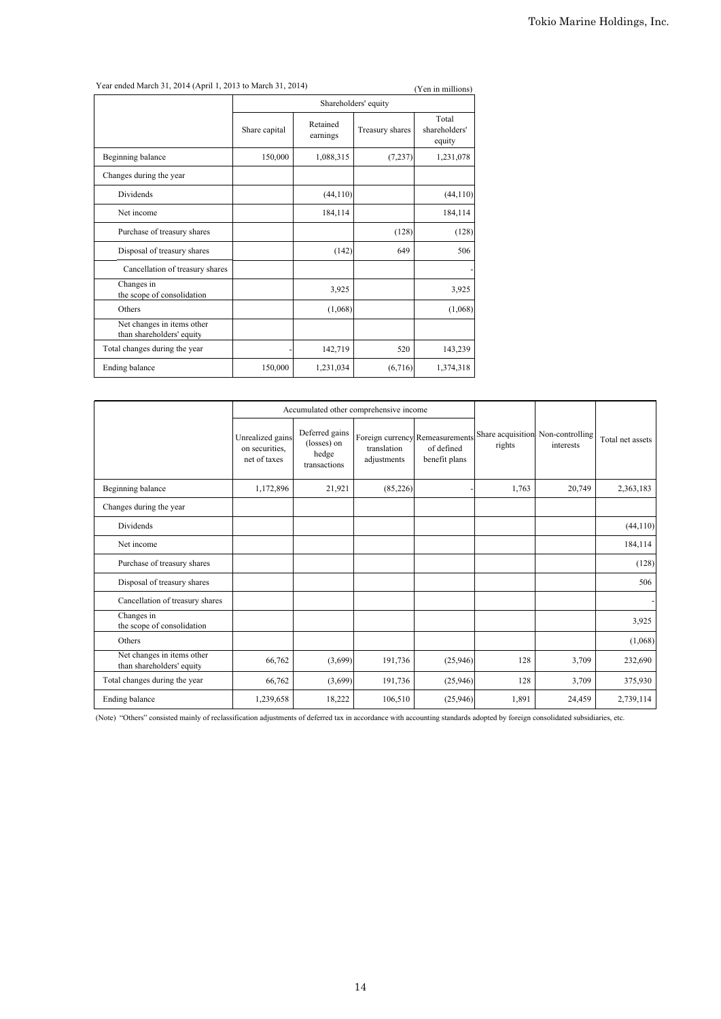Year ended March 31, 2014 (April 1, 2013 to March 31, 2014) (Yen in millions)

|                      |                      |                 | $(1 \text{cm m mm}$              |  |  |
|----------------------|----------------------|-----------------|----------------------------------|--|--|
| Shareholders' equity |                      |                 |                                  |  |  |
| Share capital        | Retained<br>earnings | Treasury shares | Total<br>shareholders'<br>equity |  |  |
| 150,000              | 1,088,315            | (7,237)         | 1,231,078                        |  |  |
|                      |                      |                 |                                  |  |  |
|                      | (44, 110)            |                 | (44, 110)                        |  |  |
|                      | 184,114              |                 | 184,114                          |  |  |
|                      |                      | (128)           | (128)                            |  |  |
|                      | (142)                | 649             | 506                              |  |  |
|                      |                      |                 |                                  |  |  |
|                      | 3,925                |                 | 3,925                            |  |  |
|                      | (1,068)              |                 | (1,068)                          |  |  |
|                      |                      |                 |                                  |  |  |
|                      | 142,719              | 520             | 143,239                          |  |  |
| 150,000              | 1,231,034            | (6,716)         | 1,374,318                        |  |  |
|                      |                      |                 |                                  |  |  |

|                                                         |                                                    |                                                        | Accumulated other comprehensive income |                                                                |                             |                              |                  |
|---------------------------------------------------------|----------------------------------------------------|--------------------------------------------------------|----------------------------------------|----------------------------------------------------------------|-----------------------------|------------------------------|------------------|
|                                                         | Unrealized gains<br>on securities.<br>net of taxes | Deferred gains<br>(losses) on<br>hedge<br>transactions | translation<br>adjustments             | Foreign currency Remeasurements<br>of defined<br>benefit plans | Share acquisition<br>rights | Non-controlling<br>interests | Total net assets |
| Beginning balance                                       | 1,172,896                                          | 21,921                                                 | (85, 226)                              |                                                                | 1,763                       | 20,749                       | 2,363,183        |
| Changes during the year                                 |                                                    |                                                        |                                        |                                                                |                             |                              |                  |
| Dividends                                               |                                                    |                                                        |                                        |                                                                |                             |                              | (44, 110)        |
| Net income                                              |                                                    |                                                        |                                        |                                                                |                             |                              | 184,114          |
| Purchase of treasury shares                             |                                                    |                                                        |                                        |                                                                |                             |                              | (128)            |
| Disposal of treasury shares                             |                                                    |                                                        |                                        |                                                                |                             |                              | 506              |
| Cancellation of treasury shares                         |                                                    |                                                        |                                        |                                                                |                             |                              |                  |
| Changes in<br>the scope of consolidation                |                                                    |                                                        |                                        |                                                                |                             |                              | 3,925            |
| Others                                                  |                                                    |                                                        |                                        |                                                                |                             |                              | (1,068)          |
| Net changes in items other<br>than shareholders' equity | 66,762                                             | (3,699)                                                | 191,736                                | (25,946)                                                       | 128                         | 3,709                        | 232,690          |
| Total changes during the year                           | 66,762                                             | (3,699)                                                | 191,736                                | (25,946)                                                       | 128                         | 3,709                        | 375,930          |
| Ending balance                                          | 1,239,658                                          | 18,222                                                 | 106,510                                | (25,946)                                                       | 1,891                       | 24,459                       | 2,739,114        |

(Note) "Others" consisted mainly of reclassification adjustments of deferred tax in accordance with accounting standards adopted by foreign consolidated subsidiaries, etc.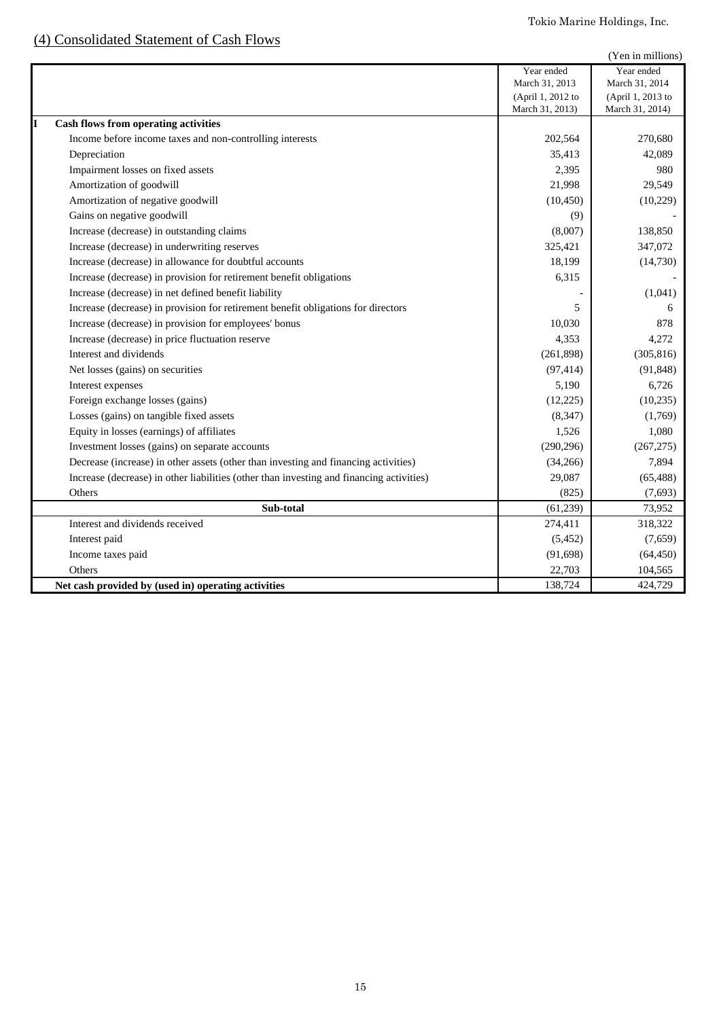# (4) Consolidated Statement of Cash Flows

|                                                                                          |                                                                      | (Yen in millions)                                                    |
|------------------------------------------------------------------------------------------|----------------------------------------------------------------------|----------------------------------------------------------------------|
|                                                                                          | Year ended<br>March 31, 2013<br>(April 1, 2012 to<br>March 31, 2013) | Year ended<br>March 31, 2014<br>(April 1, 2013 to<br>March 31, 2014) |
| <b>Cash flows from operating activities</b>                                              |                                                                      |                                                                      |
| Income before income taxes and non-controlling interests                                 | 202,564                                                              | 270,680                                                              |
| Depreciation                                                                             | 35,413                                                               | 42,089                                                               |
| Impairment losses on fixed assets                                                        | 2,395                                                                | 980                                                                  |
| Amortization of goodwill                                                                 | 21,998                                                               | 29,549                                                               |
| Amortization of negative goodwill                                                        | (10, 450)                                                            | (10, 229)                                                            |
| Gains on negative goodwill                                                               | (9)                                                                  |                                                                      |
| Increase (decrease) in outstanding claims                                                | (8,007)                                                              | 138,850                                                              |
| Increase (decrease) in underwriting reserves                                             | 325,421                                                              | 347,072                                                              |
| Increase (decrease) in allowance for doubtful accounts                                   | 18,199                                                               | (14,730)                                                             |
| Increase (decrease) in provision for retirement benefit obligations                      | 6,315                                                                |                                                                      |
| Increase (decrease) in net defined benefit liability                                     |                                                                      | (1,041)                                                              |
| Increase (decrease) in provision for retirement benefit obligations for directors        | 5                                                                    | 6                                                                    |
| Increase (decrease) in provision for employees' bonus                                    | 10,030                                                               | 878                                                                  |
| Increase (decrease) in price fluctuation reserve                                         | 4,353                                                                | 4,272                                                                |
| Interest and dividends                                                                   | (261, 898)                                                           | (305, 816)                                                           |
| Net losses (gains) on securities                                                         | (97, 414)                                                            | (91, 848)                                                            |
| Interest expenses                                                                        | 5,190                                                                | 6,726                                                                |
| Foreign exchange losses (gains)                                                          | (12, 225)                                                            | (10, 235)                                                            |
| Losses (gains) on tangible fixed assets                                                  | (8, 347)                                                             | (1,769)                                                              |
| Equity in losses (earnings) of affiliates                                                | 1,526                                                                | 1,080                                                                |
| Investment losses (gains) on separate accounts                                           | (290, 296)                                                           | (267, 275)                                                           |
| Decrease (increase) in other assets (other than investing and financing activities)      | (34,266)                                                             | 7,894                                                                |
| Increase (decrease) in other liabilities (other than investing and financing activities) | 29,087                                                               | (65, 488)                                                            |
| Others                                                                                   | (825)                                                                | (7,693)                                                              |
| Sub-total                                                                                | (61, 239)                                                            | 73,952                                                               |
| Interest and dividends received                                                          | 274,411                                                              | 318,322                                                              |
| Interest paid                                                                            | (5, 452)                                                             | (7,659)                                                              |
| Income taxes paid                                                                        | (91, 698)                                                            | (64, 450)                                                            |
| Others                                                                                   | 22,703                                                               | 104,565                                                              |
| Net cash provided by (used in) operating activities                                      | 138,724                                                              | 424,729                                                              |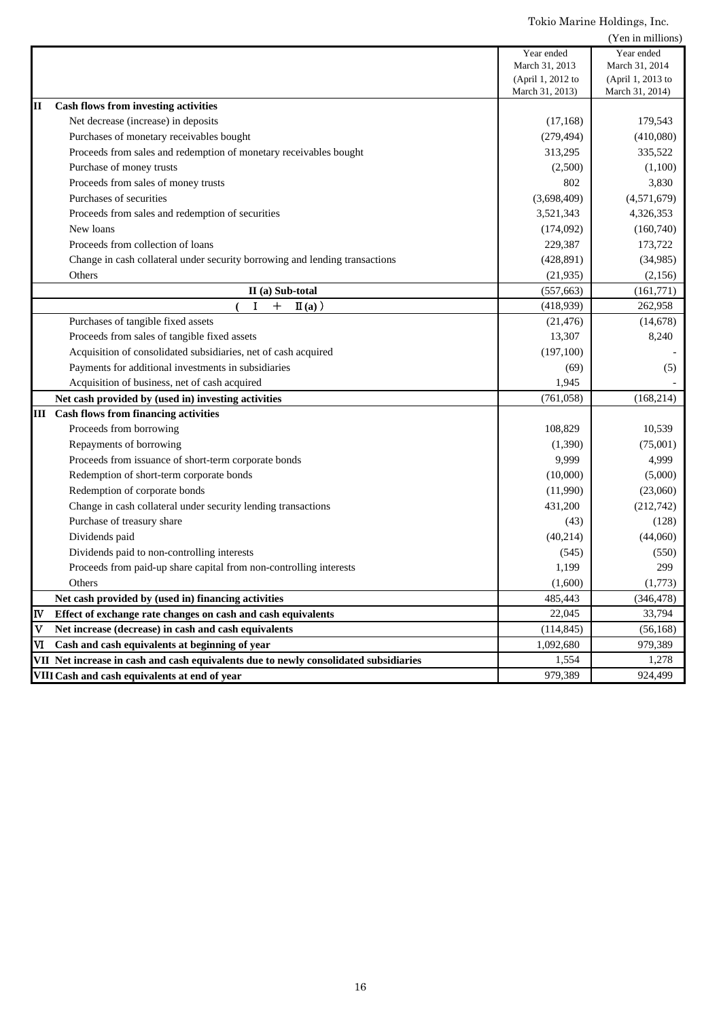|                         |                                                                                      |                                      | (Yen in millions)                    |
|-------------------------|--------------------------------------------------------------------------------------|--------------------------------------|--------------------------------------|
|                         |                                                                                      | Year ended                           | Year ended                           |
|                         |                                                                                      | March 31, 2013                       | March 31, 2014                       |
|                         |                                                                                      | (April 1, 2012 to<br>March 31, 2013) | (April 1, 2013 to<br>March 31, 2014) |
| II                      | <b>Cash flows from investing activities</b>                                          |                                      |                                      |
|                         | Net decrease (increase) in deposits                                                  | (17, 168)                            | 179,543                              |
|                         | Purchases of monetary receivables bought                                             | (279, 494)                           | (410,080)                            |
|                         | Proceeds from sales and redemption of monetary receivables bought                    | 313,295                              | 335,522                              |
|                         | Purchase of money trusts                                                             | (2,500)                              | (1,100)                              |
|                         | Proceeds from sales of money trusts                                                  | 802                                  | 3,830                                |
|                         | Purchases of securities                                                              | (3,698,409)                          | (4,571,679)                          |
|                         | Proceeds from sales and redemption of securities                                     | 3,521,343                            | 4,326,353                            |
|                         | New loans                                                                            | (174,092)                            | (160,740)                            |
|                         | Proceeds from collection of loans                                                    | 229,387                              | 173,722                              |
|                         | Change in cash collateral under security borrowing and lending transactions          | (428, 891)                           | (34,985)                             |
|                         | Others                                                                               | (21, 935)                            | (2,156)                              |
|                         | II (a) Sub-total                                                                     | (557, 663)                           | (161,771)                            |
|                         | $\mathbf I$<br>$+$<br>$\mathbf{I}(\mathbf{a})$ )                                     | (418,939)                            | 262,958                              |
|                         | Purchases of tangible fixed assets                                                   | (21, 476)                            | (14, 678)                            |
|                         | Proceeds from sales of tangible fixed assets                                         | 13,307                               | 8,240                                |
|                         | Acquisition of consolidated subsidiaries, net of cash acquired                       | (197,100)                            |                                      |
|                         | Payments for additional investments in subsidiaries                                  | (69)                                 | (5)                                  |
|                         | Acquisition of business, net of cash acquired                                        | 1,945                                |                                      |
|                         | Net cash provided by (used in) investing activities                                  | (761, 058)                           | (168, 214)                           |
|                         | <b>III</b> Cash flows from financing activities                                      |                                      |                                      |
|                         | Proceeds from borrowing                                                              | 108,829                              | 10,539                               |
|                         | Repayments of borrowing                                                              | (1,390)                              | (75,001)                             |
|                         | Proceeds from issuance of short-term corporate bonds                                 | 9,999                                | 4,999                                |
|                         | Redemption of short-term corporate bonds                                             | (10,000)                             | (5,000)                              |
|                         | Redemption of corporate bonds                                                        | (11,990)                             | (23,060)                             |
|                         | Change in cash collateral under security lending transactions                        | 431,200                              | (212, 742)                           |
|                         | Purchase of treasury share                                                           | (43)                                 | (128)                                |
|                         | Dividends paid                                                                       | (40,214)                             | (44,060)                             |
|                         | Dividends paid to non-controlling interests                                          | (545)                                | (550)                                |
|                         | Proceeds from paid-up share capital from non-controlling interests                   | 1,199                                | 299                                  |
|                         | Others                                                                               | (1,600)                              | (1,773)                              |
|                         | Net cash provided by (used in) financing activities                                  | 485,443                              | (346, 478)                           |
| IV                      | Effect of exchange rate changes on cash and cash equivalents                         | 22,045                               | 33,794                               |
| lv                      | Net increase (decrease) in cash and cash equivalents                                 | (114, 845)                           | (56, 168)                            |
| $\overline{\mathbf{M}}$ | Cash and cash equivalents at beginning of year                                       | 1,092,680                            | 979,389                              |
|                         | VII Net increase in cash and cash equivalents due to newly consolidated subsidiaries | 1,554                                | 1,278                                |
|                         | VIII Cash and cash equivalents at end of year                                        | 979,389                              | 924,499                              |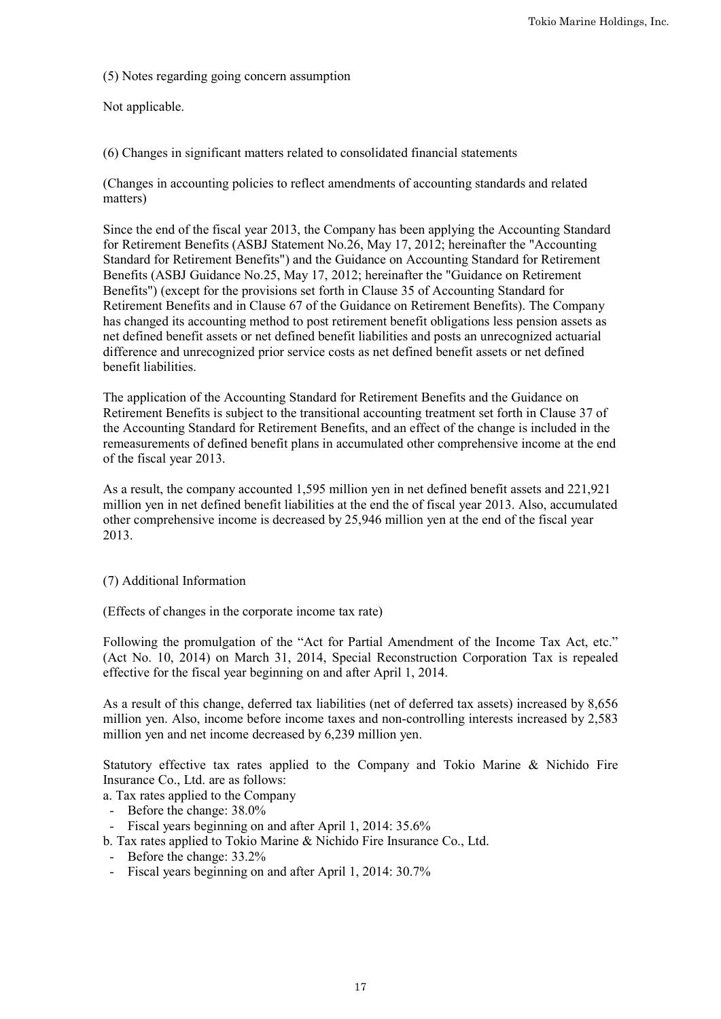(5) Notes regarding going concern assumption

Not applicable.

(6) Changes in significant matters related to consolidated financial statements

(Changes in accounting policies to reflect amendments of accounting standards and related matters)

Since the end of the fiscal year 2013, the Company has been applying the Accounting Standard for Retirement Benefits (ASBJ Statement No.26, May 17, 2012; hereinafter the "Accounting Standard for Retirement Benefits") and the Guidance on Accounting Standard for Retirement Benefits (ASBJ Guidance No.25, May 17, 2012; hereinafter the "Guidance on Retirement Benefits") (except for the provisions set forth in Clause 35 of Accounting Standard for Retirement Benefits and in Clause 67 of the Guidance on Retirement Benefits). The Company has changed its accounting method to post retirement benefit obligations less pension assets as net defined benefit assets or net defined benefit liabilities and posts an unrecognized actuarial difference and unrecognized prior service costs as net defined benefit assets or net defined benefit liabilities.

The application of the Accounting Standard for Retirement Benefits and the Guidance on Retirement Benefits is subject to the transitional accounting treatment set forth in Clause 37 of the Accounting Standard for Retirement Benefits, and an effect of the change is included in the remeasurements of defined benefit plans in accumulated other comprehensive income at the end of the fiscal year 2013.

As a result, the company accounted 1,595 million yen in net defined benefit assets and 221,921 million yen in net defined benefit liabilities at the end the of fiscal year 2013. Also, accumulated other comprehensive income is decreased by 25,946 million yen at the end of the fiscal year 2013.

# (7) Additional Information

(Effects of changes in the corporate income tax rate)

Following the promulgation of the "Act for Partial Amendment of the Income Tax Act, etc." (Act No. 10, 2014) on March 31, 2014, Special Reconstruction Corporation Tax is repealed effective for the fiscal year beginning on and after April 1, 2014.

As a result of this change, deferred tax liabilities (net of deferred tax assets) increased by 8,656 million yen. Also, income before income taxes and non-controlling interests increased by 2,583 million yen and net income decreased by 6,239 million yen.

Statutory effective tax rates applied to the Company and Tokio Marine & Nichido Fire Insurance Co., Ltd. are as follows:

a. Tax rates applied to the Company

- Before the change: 38.0%
- Fiscal years beginning on and after April 1, 2014: 35.6%
- b. Tax rates applied to Tokio Marine & Nichido Fire Insurance Co., Ltd.
- Before the change: 33.2%
- Fiscal years beginning on and after April 1, 2014: 30.7%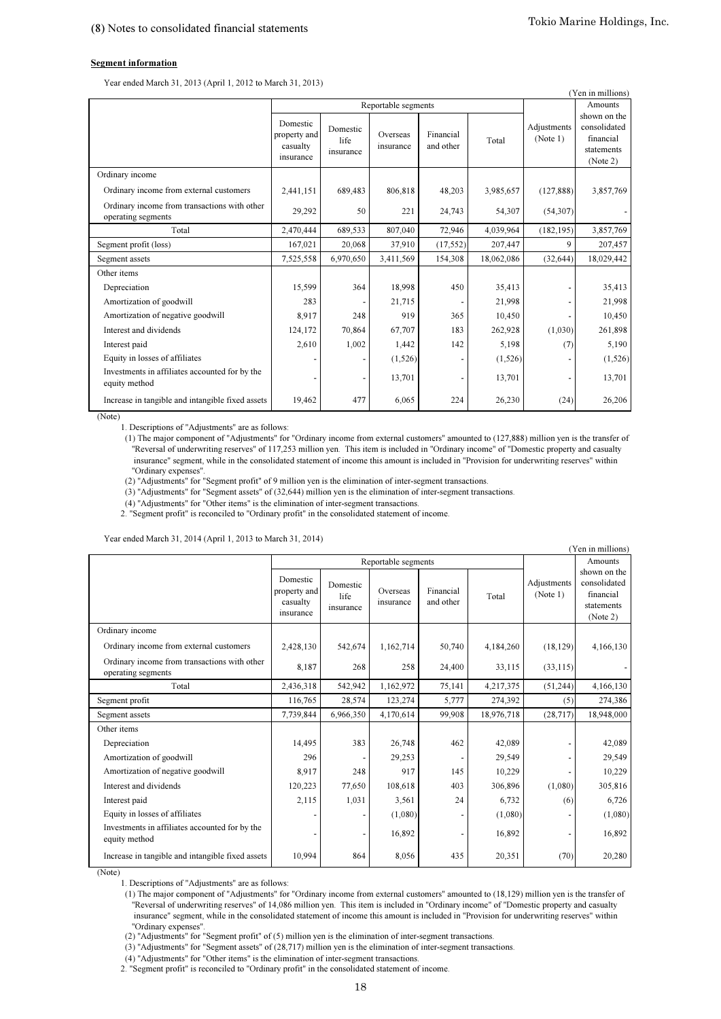#### Segment information

Year ended March 31, 2013 (April 1, 2012 to March 31, 2013)

| (Yen in millions)                                                  |                                                   |                               |                       |                        |            |                         |                                                                     |  |
|--------------------------------------------------------------------|---------------------------------------------------|-------------------------------|-----------------------|------------------------|------------|-------------------------|---------------------------------------------------------------------|--|
|                                                                    |                                                   |                               | Reportable segments   |                        |            |                         | Amounts                                                             |  |
|                                                                    | Domestic<br>property and<br>casualty<br>insurance | Domestic<br>life<br>insurance | Overseas<br>insurance | Financial<br>and other | Total      | Adjustments<br>(Note 1) | shown on the<br>consolidated<br>financial<br>statements<br>(Note 2) |  |
| Ordinary income                                                    |                                                   |                               |                       |                        |            |                         |                                                                     |  |
| Ordinary income from external customers                            | 2,441,151                                         | 689,483                       | 806,818               | 48,203                 | 3,985,657  | (127, 888)              | 3,857,769                                                           |  |
| Ordinary income from transactions with other<br>operating segments | 29,292                                            | 50                            | 221                   | 24,743                 | 54,307     | (54,307)                |                                                                     |  |
| Total                                                              | 2,470,444                                         | 689,533                       | 807,040               | 72,946                 | 4,039,964  | (182, 195)              | 3,857,769                                                           |  |
| Segment profit (loss)                                              | 167,021                                           | 20,068                        | 37,910                | (17, 552)              | 207,447    | 9                       | 207,457                                                             |  |
| Segment assets                                                     | 7,525,558                                         | 6,970,650                     | 3,411,569             | 154,308                | 18,062,086 | (32, 644)               | 18,029,442                                                          |  |
| Other items                                                        |                                                   |                               |                       |                        |            |                         |                                                                     |  |
| Depreciation                                                       | 15,599                                            | 364                           | 18,998                | 450                    | 35,413     |                         | 35,413                                                              |  |
| Amortization of goodwill                                           | 283                                               |                               | 21,715                |                        | 21,998     |                         | 21,998                                                              |  |
| Amortization of negative goodwill                                  | 8,917                                             | 248                           | 919                   | 365                    | 10,450     |                         | 10,450                                                              |  |
| Interest and dividends                                             | 124,172                                           | 70,864                        | 67,707                | 183                    | 262,928    | (1,030)                 | 261,898                                                             |  |
| Interest paid                                                      | 2,610                                             | 1,002                         | 1,442                 | 142                    | 5,198      | (7)                     | 5,190                                                               |  |
| Equity in losses of affiliates                                     |                                                   |                               | (1,526)               |                        | (1, 526)   |                         | (1, 526)                                                            |  |
| Investments in affiliates accounted for by the<br>equity method    |                                                   |                               | 13,701                |                        | 13,701     |                         | 13,701                                                              |  |
| Increase in tangible and intangible fixed assets                   | 19,462                                            | 477                           | 6,065                 | 224                    | 26,230     | (24)                    | 26,206                                                              |  |

(Note)

1. Descriptions of "Adjustments" are as follows:

 "Ordinary expenses". (1) The major component of "Adjustments" for "Ordinary income from external customers" amounted to (127,888) million yen is the transfer of "Reversal of underwriting reserves" of 117,253 million yen. This item is included in "Ordinary income" of "Domestic property and casualty insurance" segment, while in the consolidated statement of income this amount is included in "Provision for underwriting reserves" within

(2) "Adjustments" for "Segment profit" of 9 million yen is the elimination of inter-segment transactions.

(3) "Adjustments" for "Segment assets" of (32,644) million yen is the elimination of inter-segment transactions.

(4) "Adjustments" for "Other items" is the elimination of inter-segment transactions.

2. "Segment profit" is reconciled to "Ordinary profit" in the consolidated statement of income.

Year ended March 31, 2014 (April 1, 2013 to March 31, 2014)

|                                                                    |                                                   |                               |                       |                        |            |                         | (Yen in millions)                                                   |
|--------------------------------------------------------------------|---------------------------------------------------|-------------------------------|-----------------------|------------------------|------------|-------------------------|---------------------------------------------------------------------|
|                                                                    |                                                   |                               | Reportable segments   |                        |            |                         | Amounts                                                             |
|                                                                    | Domestic<br>property and<br>casualty<br>insurance | Domestic<br>life<br>insurance | Overseas<br>insurance | Financial<br>and other | Total      | Adjustments<br>(Note 1) | shown on the<br>consolidated<br>financial<br>statements<br>(Note 2) |
| Ordinary income                                                    |                                                   |                               |                       |                        |            |                         |                                                                     |
| Ordinary income from external customers                            | 2,428,130                                         | 542,674                       | 1,162,714             | 50,740                 | 4,184,260  | (18, 129)               | 4,166,130                                                           |
| Ordinary income from transactions with other<br>operating segments | 8,187                                             | 268                           | 258                   | 24,400                 | 33,115     | (33, 115)               |                                                                     |
| Total                                                              | 2,436,318                                         | 542,942                       | 1,162,972             | 75,141                 | 4,217,375  | (51,244)                | 4,166,130                                                           |
| Segment profit                                                     | 116,765                                           | 28,574                        | 123,274               | 5,777                  | 274,392    | (5)                     | 274,386                                                             |
| Segment assets                                                     | 7,739,844                                         | 6,966,350                     | 4,170,614             | 99.908                 | 18,976,718 | (28, 717)               | 18,948,000                                                          |
| Other items                                                        |                                                   |                               |                       |                        |            |                         |                                                                     |
| Depreciation                                                       | 14,495                                            | 383                           | 26,748                | 462                    | 42,089     |                         | 42,089                                                              |
| Amortization of goodwill                                           | 296                                               |                               | 29,253                |                        | 29,549     |                         | 29,549                                                              |
| Amortization of negative goodwill                                  | 8,917                                             | 248                           | 917                   | 145                    | 10,229     |                         | 10,229                                                              |
| Interest and dividends                                             | 120,223                                           | 77,650                        | 108,618               | 403                    | 306,896    | (1,080)                 | 305,816                                                             |
| Interest paid                                                      | 2,115                                             | 1,031                         | 3,561                 | 24                     | 6,732      | (6)                     | 6,726                                                               |
| Equity in losses of affiliates                                     |                                                   |                               | (1,080)               |                        | (1,080)    |                         | (1,080)                                                             |
| Investments in affiliates accounted for by the<br>equity method    |                                                   |                               | 16,892                |                        | 16,892     |                         | 16,892                                                              |
| Increase in tangible and intangible fixed assets                   | 10,994                                            | 864                           | 8,056                 | 435                    | 20,351     | (70)                    | 20,280                                                              |

(Note)

1. Descriptions of "Adjustments" are as follows:

 "Reversal of underwriting reserves" of 14,086 million yen. This item is included in "Ordinary income" of "Domestic property and casualty insurance" segment, while in the consolidated statement of income this amount is included in "Provision for underwriting reserves" within "Ordinary expenses". (1) The major component of "Adjustments" for "Ordinary income from external customers" amounted to (18,129) million yen is the transfer of

(2) "Adjustments" for "Segment profit" of (5) million yen is the elimination of inter-segment transactions.

(3) "Adjustments" for "Segment assets" of (28,717) million yen is the elimination of inter-segment transactions.

(4) "Adjustments" for "Other items" is the elimination of inter-segment transactions.

2. "Segment profit" is reconciled to "Ordinary profit" in the consolidated statement of income.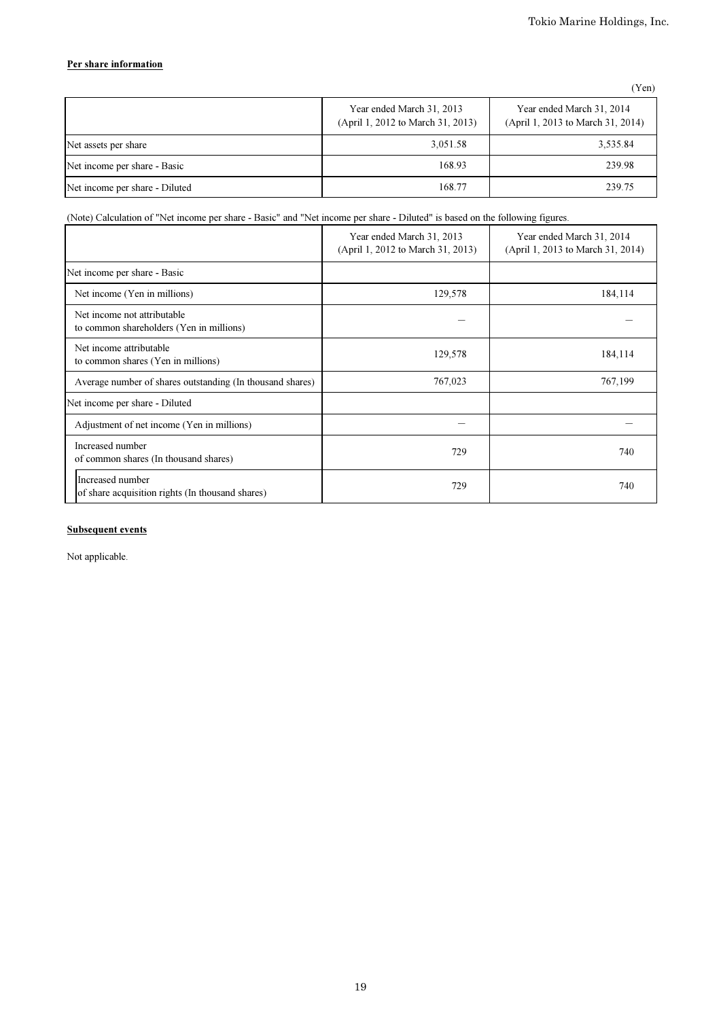## Per share information

| ٠<br>× |  |  |  |  |
|--------|--|--|--|--|
|--------|--|--|--|--|

|                                | Year ended March 31, 2013<br>(April 1, 2012 to March 31, 2013) | Year ended March 31, 2014<br>(April 1, 2013 to March 31, 2014) |
|--------------------------------|----------------------------------------------------------------|----------------------------------------------------------------|
| Net assets per share           | 3,051.58                                                       | 3,535.84                                                       |
| Net income per share - Basic   | 168.93                                                         | 239.98                                                         |
| Net income per share - Diluted | 168.77                                                         | 239.75                                                         |

## (Note) Calculation of "Net income per share - Basic" and "Net income per share - Diluted" is based on the following figures.

|                                                                         | Year ended March 31, 2013<br>(April 1, 2012 to March 31, 2013) | Year ended March 31, 2014<br>(April 1, 2013 to March 31, 2014) |
|-------------------------------------------------------------------------|----------------------------------------------------------------|----------------------------------------------------------------|
| Net income per share - Basic                                            |                                                                |                                                                |
| Net income (Yen in millions)                                            | 129,578                                                        | 184,114                                                        |
| Net income not attributable<br>to common shareholders (Yen in millions) |                                                                |                                                                |
| Net income attributable<br>to common shares (Yen in millions)           | 129,578                                                        | 184,114                                                        |
| Average number of shares outstanding (In thousand shares)               | 767,023                                                        | 767,199                                                        |
| Net income per share - Diluted                                          |                                                                |                                                                |
| Adjustment of net income (Yen in millions)                              |                                                                |                                                                |
| Increased number<br>of common shares (In thousand shares)               | 729                                                            | 740                                                            |
| Increased number<br>of share acquisition rights (In thousand shares)    | 729                                                            | 740                                                            |

## Subsequent events

Not applicable.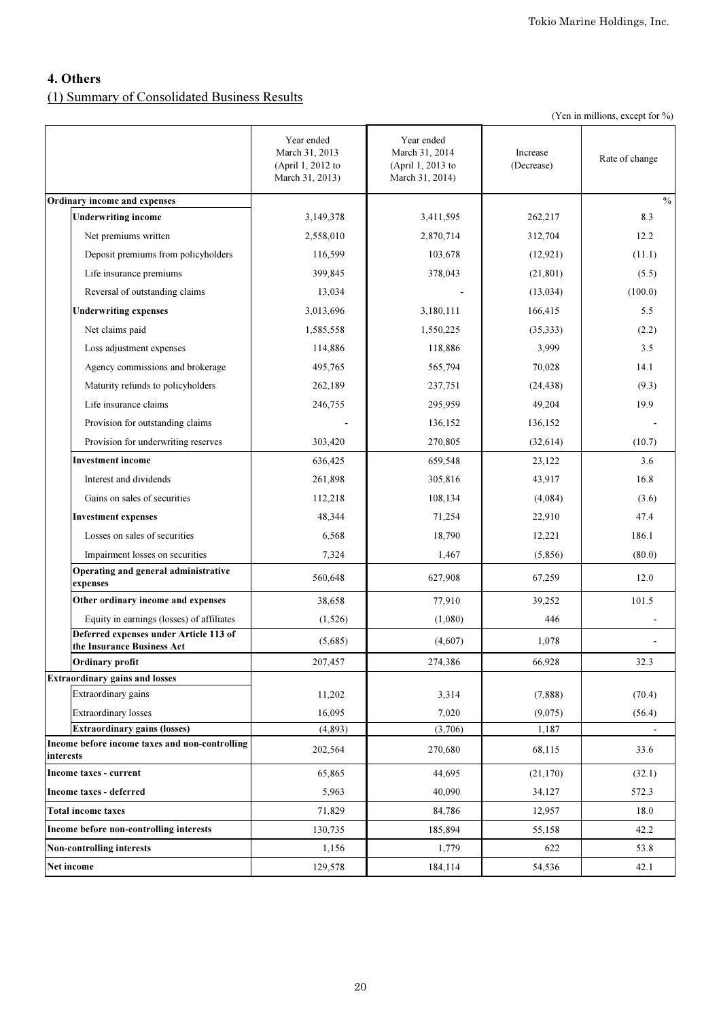# 4. Others

# (1) Summary of Consolidated Business Results

|  |  |  | (Yen in millions, except for %) |  |  |  |
|--|--|--|---------------------------------|--|--|--|
|--|--|--|---------------------------------|--|--|--|

|                                                                      | Year ended<br>March 31, 2013<br>(April 1, 2012 to<br>March 31, 2013) | Year ended<br>March 31, 2014<br>(April 1, 2013 to<br>March 31, 2014) | Increase<br>(Decrease) | Rate of change |
|----------------------------------------------------------------------|----------------------------------------------------------------------|----------------------------------------------------------------------|------------------------|----------------|
| Ordinary income and expenses                                         |                                                                      |                                                                      |                        | $\frac{0}{0}$  |
| <b>Underwriting income</b>                                           | 3,149,378                                                            | 3,411,595                                                            | 262,217                | 8.3            |
| Net premiums written                                                 | 2,558,010                                                            | 2,870,714                                                            | 312,704                | 12.2           |
| Deposit premiums from policyholders                                  | 116,599                                                              | 103,678                                                              | (12, 921)              | (11.1)         |
| Life insurance premiums                                              | 399,845                                                              | 378,043                                                              | (21, 801)              | (5.5)          |
| Reversal of outstanding claims                                       | 13,034                                                               |                                                                      | (13,034)               | (100.0)        |
| <b>Underwriting expenses</b>                                         | 3,013,696                                                            | 3,180,111                                                            | 166,415                | 5.5            |
| Net claims paid                                                      | 1,585,558                                                            | 1,550,225                                                            | (35,333)               | (2.2)          |
| Loss adjustment expenses                                             | 114,886                                                              | 118,886                                                              | 3,999                  | 3.5            |
| Agency commissions and brokerage                                     | 495,765                                                              | 565,794                                                              | 70,028                 | 14.1           |
| Maturity refunds to policyholders                                    | 262,189                                                              | 237,751                                                              | (24, 438)              | (9.3)          |
| Life insurance claims                                                | 246,755                                                              | 295,959                                                              | 49,204                 | 19.9           |
| Provision for outstanding claims                                     |                                                                      | 136,152                                                              | 136,152                |                |
| Provision for underwriting reserves                                  | 303,420                                                              | 270,805                                                              | (32, 614)              | (10.7)         |
| <b>Investment</b> income                                             | 636,425                                                              | 659,548                                                              | 23,122                 | 3.6            |
| Interest and dividends                                               | 261,898                                                              | 305,816                                                              | 43,917                 | 16.8           |
| Gains on sales of securities                                         | 112,218                                                              | 108,134                                                              | (4,084)                | (3.6)          |
| <b>Investment expenses</b>                                           | 48,344                                                               | 71,254                                                               | 22,910                 | 47.4           |
| Losses on sales of securities                                        | 6,568                                                                | 18,790                                                               | 12,221                 | 186.1          |
| Impairment losses on securities                                      | 7,324                                                                | 1,467                                                                | (5,856)                | (80.0)         |
| Operating and general administrative<br>expenses                     | 560,648                                                              | 627,908                                                              | 67,259                 | 12.0           |
| Other ordinary income and expenses                                   | 38,658                                                               | 77,910                                                               | 39,252                 | 101.5          |
| Equity in earnings (losses) of affiliates                            | (1,526)                                                              | (1,080)                                                              | 446                    |                |
| Deferred expenses under Article 113 of<br>the Insurance Business Act | (5,685)                                                              | (4,607)                                                              | 1,078                  |                |
| Ordinary profit                                                      | 207,457                                                              | 274,386                                                              | 66,928                 | 32.3           |
| <b>Extraordinary gains and losses</b>                                |                                                                      |                                                                      |                        |                |
| Extraordinary gains                                                  | 11,202                                                               | 3,314                                                                | (7,888)                | (70.4)         |
| <b>Extraordinary losses</b>                                          | 16,095                                                               | 7,020                                                                | (9,075)                | (56.4)         |
| <b>Extraordinary gains (losses)</b>                                  | (4, 893)                                                             | (3,706)                                                              | 1,187                  |                |
| Income before income taxes and non-controlling<br>interests          | 202,564                                                              | 270,680                                                              | 68,115                 | 33.6           |
| Income taxes - current                                               | 65,865                                                               | 44,695                                                               | (21, 170)              | (32.1)         |
| Income taxes - deferred                                              | 5,963                                                                | 40,090                                                               | 34,127                 | 572.3          |
| <b>Total income taxes</b>                                            | 71,829                                                               | 84,786                                                               | 12,957                 | 18.0           |
| Income before non-controlling interests                              | 130,735                                                              | 185,894                                                              | 55,158                 | 42.2           |
| Non-controlling interests                                            | 1,156                                                                | 1,779                                                                | 622                    | 53.8           |
| Net income                                                           | 129,578                                                              | 184,114                                                              | 54,536                 | 42.1           |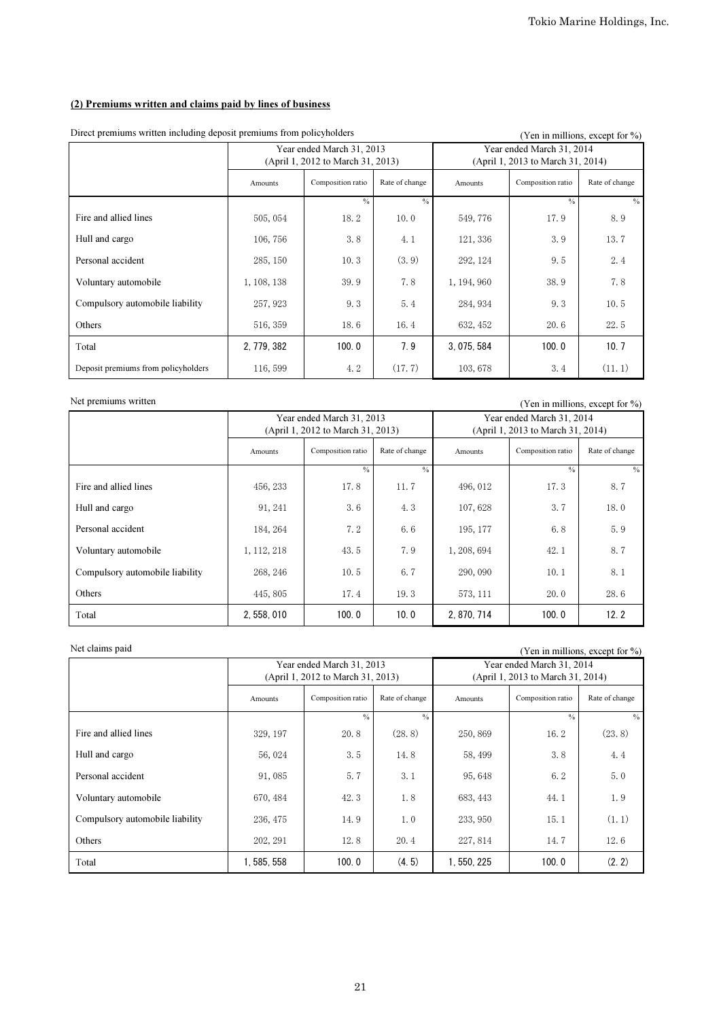## (2) Premiums written and claims paid by lines of business

| Direct premiums written including deposit premiums from poneyholders |             |                                                                | (Yen in millions, except for %) |                                                                |                   |                |  |
|----------------------------------------------------------------------|-------------|----------------------------------------------------------------|---------------------------------|----------------------------------------------------------------|-------------------|----------------|--|
|                                                                      |             | Year ended March 31, 2013<br>(April 1, 2012 to March 31, 2013) |                                 | Year ended March 31, 2014<br>(April 1, 2013 to March 31, 2014) |                   |                |  |
|                                                                      | Amounts     | Composition ratio                                              | Rate of change                  | Amounts                                                        | Composition ratio | Rate of change |  |
|                                                                      |             | $\frac{0}{0}$                                                  | $\frac{0}{0}$                   |                                                                | $\frac{0}{0}$     | $\frac{0}{0}$  |  |
| Fire and allied lines                                                | 505, 054    | 18.2                                                           | 10.0                            | 549, 776                                                       | 17.9              | 8.9            |  |
| Hull and cargo                                                       | 106, 756    | 3.8                                                            | 4.1                             | 121, 336                                                       | 3.9               | 13.7           |  |
| Personal accident                                                    | 285, 150    | 10.3                                                           | (3.9)                           | 292, 124                                                       | 9.5               | 2.4            |  |
| Voluntary automobile                                                 | 1, 108, 138 | 39.9                                                           | 7.8                             | 1, 194, 960                                                    | 38.9              | 7.8            |  |
| Compulsory automobile liability                                      | 257, 923    | 9.3                                                            | 5.4                             | 284, 934                                                       | 9.3               | 10.5           |  |
| Others                                                               | 516, 359    | 18.6                                                           | 16.4                            | 632, 452                                                       | 20.6              | 22.5           |  |
| Total                                                                | 2, 779, 382 | 100.0                                                          | 7.9                             | 3.075.584                                                      | 100.0             | 10.7           |  |
| Deposit premiums from policyholders                                  | 116, 599    | 4.2                                                            | (17.7)                          | 103,678                                                        | 3.4               | (11.1)         |  |

Direct premiums written including deposit premiums from policyholders ( $\alpha$  in millions, except for  $\alpha$ )

Net premiums written (Yen in millions, except for %) Amounts Composition ratio Rate of change Amounts Fire and allied lines  $456, 233$  17.8  $11.7$ 496, 012 17  $3 \mid 8.7$ Hull and cargo  $91, 241$   $3.6$   $4.3$  $7,628$  3.7 18.0 Personal accident 184, 264 7.2  $\begin{array}{c|c|c|c|c|c} 2 & 6.6 & 195,177 \end{array}$ 6.8 5.9 Voluntary automobile  $1, 112, 218$   $43.5$   $7.9$  $-1, 208, 694$   $42.1$  8.7 8.7 Compulsory automobile liability  $268, 246$  10.5 6.7 290, 090  $10.1$  $8.1$ Others 445, 805 17.4  $19.3$ 573, 111 20.0 28.6 Total 2, 558, 010  $100.0$   $10.0$   $2,870,714$   $100.0$   $12.2$  $\%$  %  $\%$ Year ended March 31, 2013 (April 1, 2012 to March 31, 2013) Year ended March 31, 2014 (April 1, 2013 to March 31, 2014) Composition ratio Rate of change

Net claims paid (Yen in millions, except for %)

|                                 |           | Year ended March 31, 2013<br>(April 1, 2012 to March 31, 2013) |                | Year ended March 31, 2014<br>(April 1, 2013 to March 31, 2014) |                   |                |  |
|---------------------------------|-----------|----------------------------------------------------------------|----------------|----------------------------------------------------------------|-------------------|----------------|--|
|                                 | Amounts   | Composition ratio                                              | Rate of change | Amounts                                                        | Composition ratio | Rate of change |  |
|                                 |           | $\frac{0}{0}$                                                  | $\frac{0}{0}$  |                                                                | $\frac{0}{0}$     | $\frac{0}{0}$  |  |
| Fire and allied lines           | 329, 197  | 20.8                                                           | (28.8)         | 250,869                                                        | 16.2              | (23.8)         |  |
| Hull and cargo                  | 56,024    | 3.5                                                            | 14.8           | 58, 499                                                        | 3.8               | 4.4            |  |
| Personal accident               | 91,085    | 5.7                                                            | 3.1            | 95, 648                                                        | 6.2               | 5.0            |  |
| Voluntary automobile            | 670, 484  | 42.3                                                           | 1.8            | 683, 443                                                       | 44.1              | 1.9            |  |
| Compulsory automobile liability | 236, 475  | 14.9                                                           | 1.0            | 233, 950                                                       | 15.1              | (1.1)          |  |
| Others                          | 202, 291  | 12.8                                                           | 20.4           | 227, 814                                                       | 14.7              | 12.6           |  |
| Total                           | 1.585.558 | 100.0                                                          | (4.5)          | 1.550.225                                                      | 100.0             | (2.2)          |  |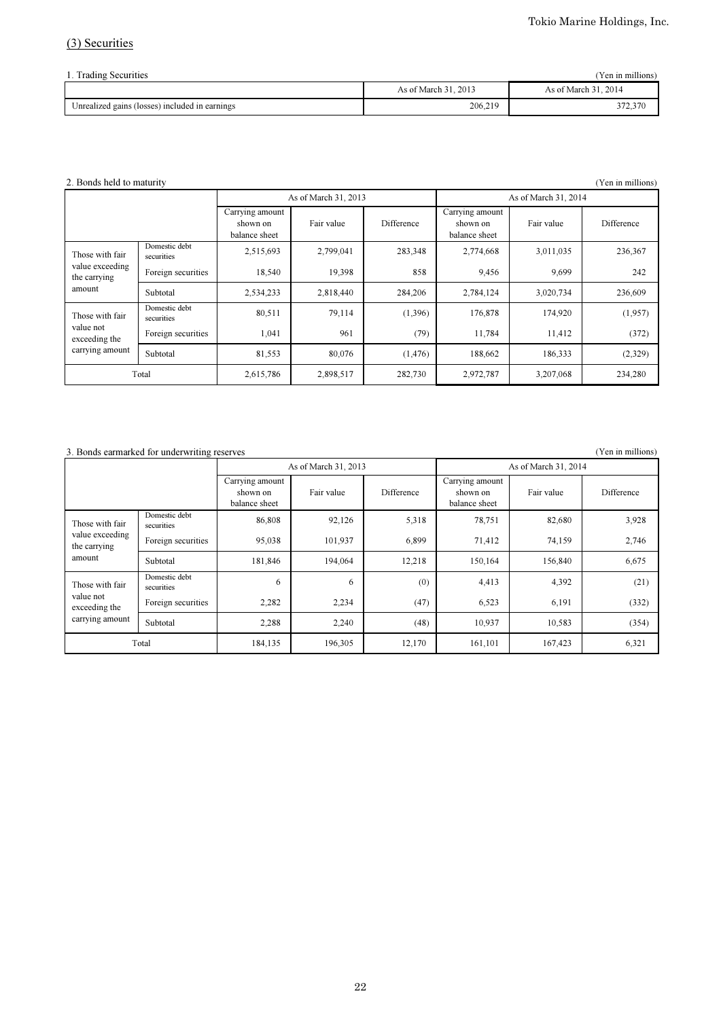# (3) Securities

| (Yen in millions)<br>1. Trading Securities     |                      |                      |  |  |  |
|------------------------------------------------|----------------------|----------------------|--|--|--|
|                                                | As of March 31, 2013 | As of March 31, 2014 |  |  |  |
| Unrealized gains (losses) included in earnings | 206,219              | 372,370              |  |  |  |

#### 2. Bonds held to maturity (Yen in millions)  $(Y^{\text{en in millions}})$

|                                               |                             |                                              | As of March 31, 2013 |            | As of March 31, 2014                         |            |            |
|-----------------------------------------------|-----------------------------|----------------------------------------------|----------------------|------------|----------------------------------------------|------------|------------|
|                                               |                             | Carrying amount<br>shown on<br>balance sheet | Fair value           | Difference | Carrying amount<br>shown on<br>balance sheet | Fair value | Difference |
| Those with fair                               | Domestic debt<br>securities | 2,515,693                                    | 2,799,041            | 283,348    | 2,774,668                                    | 3,011,035  | 236,367    |
| value exceeding<br>the carrying               | Foreign securities          | 18,540                                       | 19,398               | 858        | 9,456                                        | 9,699      | 242        |
| amount                                        | Subtotal                    | 2,534,233                                    | 2,818,440            | 284,206    | 2,784,124                                    | 3,020,734  | 236,609    |
| Those with fair                               | Domestic debt<br>securities | 80,511                                       | 79,114               | (1,396)    | 176,878                                      | 174,920    | (1,957)    |
| value not<br>exceeding the<br>carrying amount | Foreign securities          | 1,041                                        | 961                  | (79)       | 11,784                                       | 11,412     | (372)      |
|                                               | Subtotal                    | 81,553                                       | 80.076               | (1, 476)   | 188,662                                      | 186,333    | (2,329)    |
| Total                                         |                             | 2,615,786                                    | 2,898,517            | 282,730    | 2,972,787                                    | 3,207,068  | 234,280    |

## 3. Bonds earmarked for underwriting reserves (Yen in millions)

|                                               |                             |                                              | As of March 31, 2013 |            | As of March 31, 2014                         |            |            |
|-----------------------------------------------|-----------------------------|----------------------------------------------|----------------------|------------|----------------------------------------------|------------|------------|
|                                               |                             | Carrying amount<br>shown on<br>balance sheet | Fair value           | Difference | Carrying amount<br>shown on<br>balance sheet | Fair value | Difference |
| Those with fair                               | Domestic debt<br>securities | 86,808                                       | 92,126               | 5,318      | 78,751                                       | 82,680     | 3,928      |
| value exceeding<br>the carrying               | Foreign securities          | 95,038                                       | 101,937              | 6,899      | 71,412                                       | 74,159     | 2,746      |
| amount                                        | Subtotal                    | 181.846                                      | 194.064              | 12,218     | 150.164                                      | 156,840    | 6,675      |
| Those with fair                               | Domestic debt<br>securities | 6                                            | 6                    | (0)        | 4,413                                        | 4,392      | (21)       |
| value not<br>exceeding the<br>carrying amount | Foreign securities          | 2,282                                        | 2,234                | (47)       | 6,523                                        | 6,191      | (332)      |
|                                               | Subtotal                    | 2,288                                        | 2,240                | (48)       | 10,937                                       | 10,583     | (354)      |
| Total                                         |                             | 184,135                                      | 196,305              | 12,170     | 161,101                                      | 167,423    | 6,321      |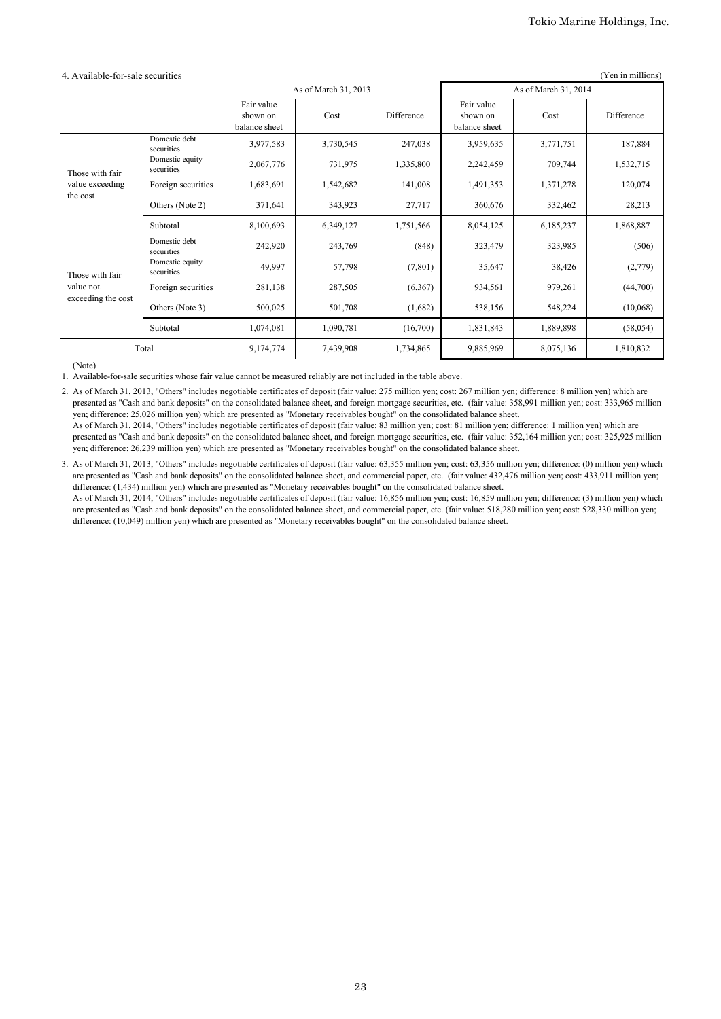| 4. Available-for-sale securities<br>(Yen in millions) |                                                                        |                                         |                      |            |                                         |           |            |
|-------------------------------------------------------|------------------------------------------------------------------------|-----------------------------------------|----------------------|------------|-----------------------------------------|-----------|------------|
|                                                       |                                                                        |                                         | As of March 31, 2013 |            | As of March 31, 2014                    |           |            |
|                                                       |                                                                        | Fair value<br>shown on<br>balance sheet | Cost                 | Difference | Fair value<br>shown on<br>balance sheet | Cost      | Difference |
|                                                       | Domestic debt<br>securities                                            | 3,977,583                               | 3,730,545            | 247,038    | 3,959,635                               | 3,771,751 | 187,884    |
| Those with fair                                       | Domestic equity<br>securities                                          | 2,067,776                               | 731,975              | 1,335,800  | 2,242,459                               | 709,744   | 1,532,715  |
| value exceeding<br>the cost                           | Foreign securities                                                     | 1,683,691                               | 1,542,682            | 141,008    | 1,491,353                               | 1,371,278 | 120,074    |
|                                                       | Others (Note 2)                                                        | 371,641                                 | 343,923              | 27,717     | 360,676                                 | 332,462   | 28,213     |
|                                                       | Subtotal                                                               | 8,100,693                               | 6,349,127            | 1,751,566  | 8,054,125                               | 6,185,237 | 1,868,887  |
| Those with fair<br>value not<br>exceeding the cost    | Domestic debt<br>securities                                            | 242,920                                 | 243,769              | (848)      | 323,479                                 | 323,985   | (506)      |
|                                                       | Domestic equity<br>securities                                          | 49,997                                  | 57,798               | (7,801)    | 35,647                                  | 38,426    | (2,779)    |
|                                                       | Foreign securities                                                     | 281,138                                 | 287,505              | (6,367)    | 934,561                                 | 979,261   | (44,700)   |
|                                                       | Others (Note 3)                                                        | 500,025                                 | 501,708              | (1,682)    | 538,156                                 | 548,224   | (10,068)   |
|                                                       | Subtotal                                                               | 1,074,081                               | 1,090,781            | (16,700)   | 1,831,843                               | 1,889,898 | (58, 054)  |
|                                                       | Total<br>9,174,774<br>9,885,969<br>8,075,136<br>7,439,908<br>1,734,865 |                                         |                      |            | 1,810,832                               |           |            |

(Note)

1. Available-for-sale securities whose fair value cannot be measured reliably are not included in the table above.

2. As of March 31, 2013, "Others" includes negotiable certificates of deposit (fair value: 275 million yen; cost: 267 million yen; difference: 8 million yen) which are presented as "Cash and bank deposits" on the consolidated balance sheet, and foreign mortgage securities, etc. (fair value: 358,991 million yen; cost: 333,965 million yen; difference: 25,026 million yen) which are presented as "Monetary receivables bought" on the consolidated balance sheet.

As of March 31, 2014, "Others" includes negotiable certificates of deposit (fair value: 83 million yen; cost: 81 million yen; difference: 1 million yen) which are presented as "Cash and bank deposits" on the consolidated balance sheet, and foreign mortgage securities, etc. (fair value: 352,164 million yen; cost: 325,925 million yen; difference: 26,239 million yen) which are presented as "Monetary receivables bought" on the consolidated balance sheet.

3. As of March 31, 2013, "Others" includes negotiable certificates of deposit (fair value: 63,355 million yen; cost: 63,356 million yen; difference: (0) million yen) which are presented as "Cash and bank deposits" on the consolidated balance sheet, and commercial paper, etc. (fair value: 432,476 million yen; cost: 433,911 million yen; difference: (1,434) million yen) which are presented as "Monetary receivables bought" on the consolidated balance sheet. As of March 31, 2014, "Others" includes negotiable certificates of deposit (fair value: 16,856 million yen; cost: 16,859 million yen; difference: (3) million yen) which

are presented as "Cash and bank deposits" on the consolidated balance sheet, and commercial paper, etc. (fair value: 518,280 million yen; cost: 528,330 million yen; difference: (10,049) million yen) which are presented as "Monetary receivables bought" on the consolidated balance sheet.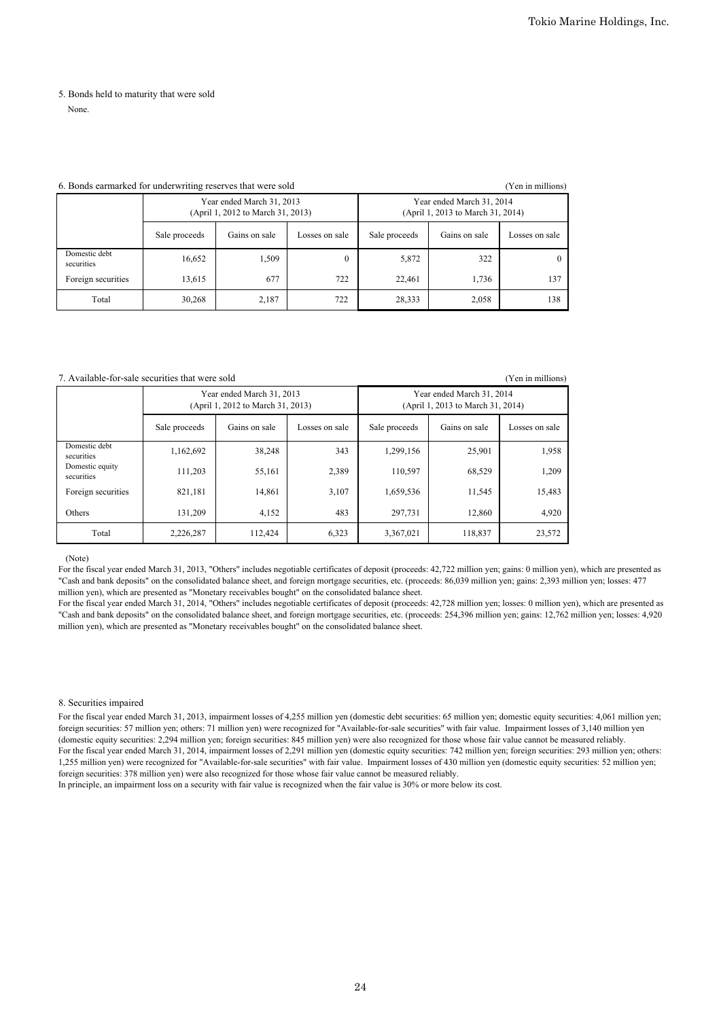# 5. Bonds held to maturity that were sold

None.

#### 6. Bonds earmarked for underwriting reserves that were sold (Yen in millions)

|                             |               | Year ended March 31, 2013<br>(April 1, 2012 to March 31, 2013) |                | Year ended March 31, 2014<br>(April 1, 2013 to March 31, 2014) |               |                |  |
|-----------------------------|---------------|----------------------------------------------------------------|----------------|----------------------------------------------------------------|---------------|----------------|--|
|                             | Sale proceeds | Gains on sale                                                  | Losses on sale | Sale proceeds                                                  | Gains on sale | Losses on sale |  |
| Domestic debt<br>securities | 16,652        | 1,509                                                          | $\theta$       | 5,872                                                          | 322           |                |  |
| Foreign securities          | 13,615        | 677                                                            | 722            | 22,461                                                         | 1,736         | 137            |  |
| Total                       | 30,268        | 2,187                                                          | 722            | 28,333                                                         | 2,058         | 138            |  |

#### 7. Available-for-sale securities that were sold (Yen in millions)

|                               |               | Year ended March 31, 2013<br>(April 1, 2012 to March 31, 2013) |                | Year ended March 31, 2014<br>(April 1, 2013 to March 31, 2014) |               |                |  |
|-------------------------------|---------------|----------------------------------------------------------------|----------------|----------------------------------------------------------------|---------------|----------------|--|
|                               | Sale proceeds | Gains on sale                                                  | Losses on sale | Sale proceeds                                                  | Gains on sale | Losses on sale |  |
| Domestic debt<br>securities   | 1,162,692     | 38,248                                                         | 343            | 1,299,156                                                      | 25,901        | 1,958          |  |
| Domestic equity<br>securities | 111,203       | 55,161                                                         | 2,389          | 110,597                                                        | 68,529        | 1,209          |  |
| Foreign securities            | 821,181       | 14,861                                                         | 3,107          | 1,659,536                                                      | 11,545        | 15,483         |  |
| Others                        | 131,209       | 4,152                                                          | 483            | 297.731                                                        | 12,860        | 4,920          |  |
| Total                         | 2,226,287     | 112.424                                                        | 6,323          | 3,367,021                                                      | 118,837       | 23,572         |  |

#### (Note)

For the fiscal year ended March 31, 2013, "Others" includes negotiable certificates of deposit (proceeds: 42,722 million yen; gains: 0 million yen), which are presented as "Cash and bank deposits" on the consolidated balance sheet, and foreign mortgage securities, etc. (proceeds: 86,039 million yen; gains: 2,393 million yen; losses: 477 million yen), which are presented as "Monetary receivables bought" on the consolidated balance sheet.

For the fiscal year ended March 31, 2014, "Others" includes negotiable certificates of deposit (proceeds: 42,728 million yen; losses: 0 million yen), which are presented as "Cash and bank deposits" on the consolidated balance sheet, and foreign mortgage securities, etc. (proceeds: 254,396 million yen; gains: 12,762 million yen; losses: 4,920 million yen), which are presented as "Monetary receivables bought" on the consolidated balance sheet.

#### 8. Securities impaired

For the fiscal year ended March 31, 2013, impairment losses of 4,255 million yen (domestic debt securities: 65 million yen; domestic equity securities: 4,061 million yen; foreign securities: 57 million yen; others: 71 million yen) were recognized for "Available-for-sale securities" with fair value. Impairment losses of 3,140 million yen (domestic equity securities: 2,294 million yen; foreign securities: 845 million yen) were also recognized for those whose fair value cannot be measured reliably. For the fiscal year ended March 31, 2014, impairment losses of 2,291 million yen (domestic equity securities: 742 million yen; foreign securities: 293 million yen; others: 1,255 million yen) were recognized for "Available-for-sale securities" with fair value. Impairment losses of 430 million yen (domestic equity securities: 52 million yen; foreign securities: 378 million yen) were also recognized for those whose fair value cannot be measured reliably.

In principle, an impairment loss on a security with fair value is recognized when the fair value is 30% or more below its cost.